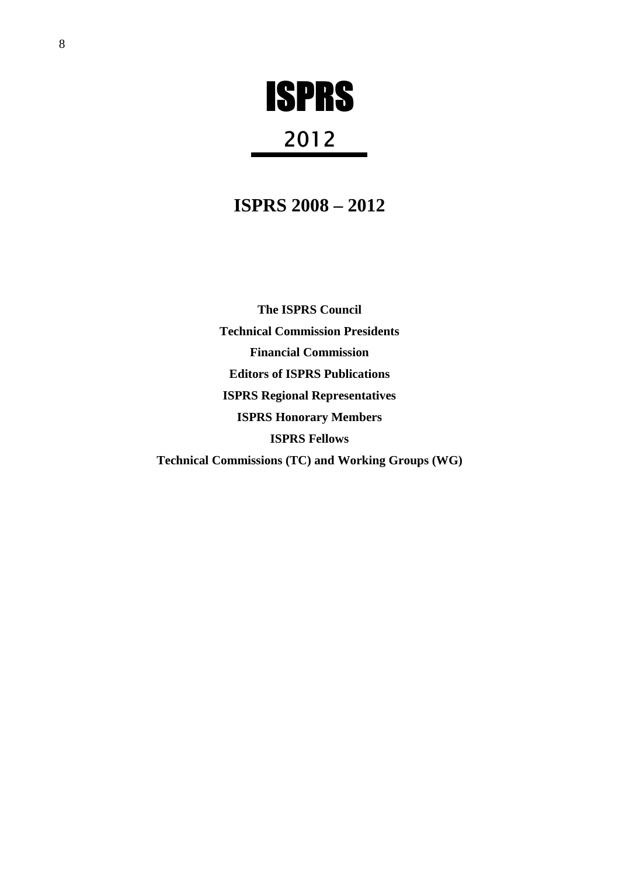# ISPRS

## 2012

## **ISPRS 2008 – 2012**

**The ISPRS Council Technical Commission Presidents Financial Commission Editors of ISPRS Publications ISPRS Regional Representatives ISPRS Honorary Members ISPRS Fellows Technical Commissions (TC) and Working Groups (WG)**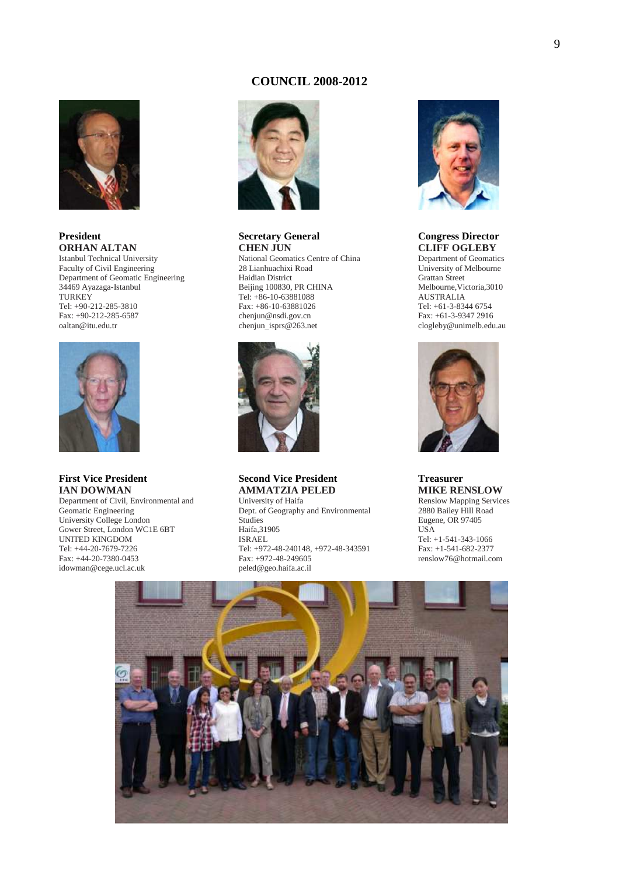## **COUNCIL 2008-2012**



## **President ORHAN ALTAN**

Istanbul Technical University Faculty of Civil Engineering Department of Geomatic Engineering 34469 Ayazaga-Istanbul **TURKEY** Tel: +90-212-285-3810 Fax: +90-212-285-6587 oaltan@itu.edu.tr



## **First Vice President IAN DOWMAN**

Department of Civil, Environmental and Geomatic Engineering University College London Gower Street, London WC1E 6BT UNITED KINGDOM Tel: +44-20-7679-7226 Fax: +44-20-7380-0453 idowman@cege.ucl.ac.uk



#### **Secretary General CHEN JUN**

National Geomatics Centre of China 28 Lianhuachixi Road Haidian District Beijing 100830, PR CHINA Tel: +86-10-63881088 Fax: +86-10-63881026 chenjun@nsdi.gov.cn chenjun\_isprs@263.net



## **Second Vice President AMMATZIA PELED**

University of Haifa Dept. of Geography and Environmental **Studies** Haifa,31905 ISRAEL Tel: +972-48-240148, +972-48-343591 Fax: +972-48-249605 peled@geo.haifa.ac.il



## **Congress Director CLIFF OGLEBY**

Department of Geomatics University of Melbourne Grattan Street Melbourne,Victoria,3010 AUSTRALIA Tel: +61-3-8344 6754 Fax: +61-3-9347 2916 clogleby@unimelb.edu.au



#### **Treasurer MIKE RENSLOW**  Renslow Mapping Services 2880 Bailey Hill Road Eugene, OR 97405 USA

Tel: +1-541-343-1066 Fax: +1-541-682-2377 renslow76@hotmail.com

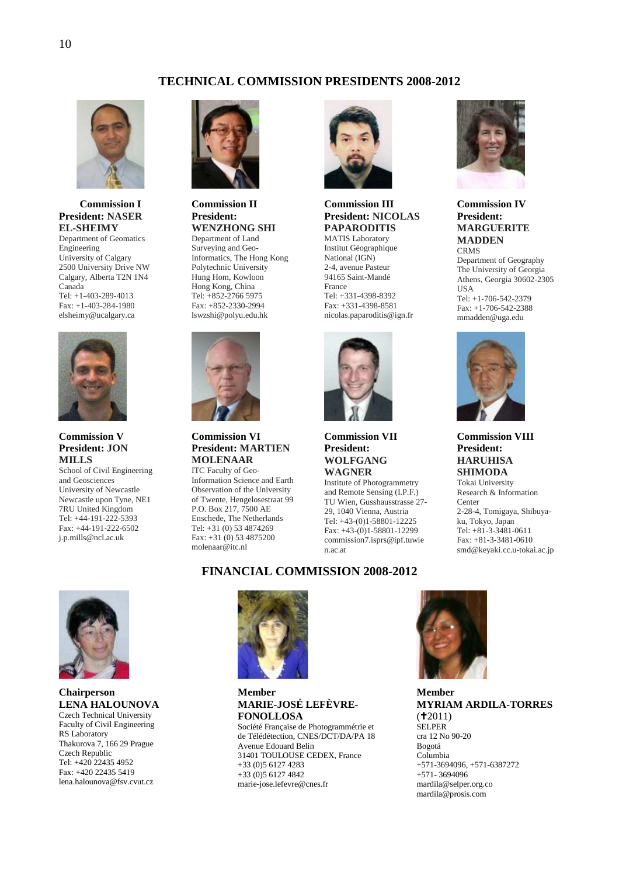## **TECHNICAL COMMISSION PRESIDENTS 2008-2012**



**Commission I President: NASER EL-SHEIMY**  Department of Geomatics Engineering University of Calgary 2500 University Drive NW Calgary, Alberta T2N 1N4

Canada Tel: +1-403-289-4013 Fax: +1-403-284-1980 elsheimy@ucalgary.ca



## **Commission V President: JON MILLS**

School of Civil Engineering and Geosciences University of Newcastle Newcastle upon Tyne, NE1 7RU United Kingdom Tel: +44-191-222-5393 Fax: +44-191-222-6502 j.p.mills@ncl.ac.uk



## **Commission II President: WENZHONG SHI**

Department of Land Surveying and Geo-Informatics, The Hong Kong Polytechnic University Hung Hom, Kowloon Hong Kong, China Tel: +852-2766 5975 Fax: +852-2330-2994 lswzshi@polyu.edu.hk



## **Commission VI President: MARTIEN MOLENAAR**  ITC Faculty of Geo-

Information Science and Earth Observation of the University of Twente, Hengelosestraat 99 P.O. Box 217, 7500 AE Enschede, The Netherlands Tel: +31 (0) 53 4874269 Fax: +31 (0) 53 4875200 molenaar@itc.nl



## **Commission III President: NICOLAS PAPARODITIS**

MATIS Laboratory Institut Géographique National (IGN) 2-4, avenue Pasteur 94165 Saint-Mandé France Tel: +331-4398-8392 Fax: +331-4398-8581 nicolas.paparoditis@ign.fr



**Commission VII President: WOLFGANG WAGNER** 

Institute of Photogrammetry and Remote Sensing (I.P.F.) TU Wien, Gusshausstrasse 27- 29, 1040 Vienna, Austria Tel: +43-(0)1-58801-12225 Fax: +43-(0)1-58801-12299 commission7.isprs@ipf.tuwie n.ac.at



## **Commission IV President: MARGUERITE MADDEN**

**CRMS** Department of Geography The University of Georgia Athens, Georgia 30602-2305 USA Tel: +1-706-542-2379 Fax: +1-706-542-2388 mmadden@uga.edu



## **Commission VIII President: HARUHISA SHIMODA**

Tokai University Research & Information Center 2-28-4, Tomigaya, Shibuyaku, Tokyo, Japan Tel: +81-3-3481-0611 Fax: +81-3-3481-0610 smd@keyaki.cc.u-tokai.ac.jp



## **Chairperson LENA HALOUNOVA**

Czech Technical University Faculty of Civil Engineering RS Laboratory Thakurova 7, 166 29 Prague Czech Republic Tel: +420 22435 4952 Fax: +420 22435 5419 lena.halounova@fsv.cvut.cz



## **Member MARIE-JOSÉ LEFÈVRE-FONOLLOSA**

**FINANCIAL COMMISSION 2008-2012** 

Société Française de Photogrammétrie et de Télédétection, CNES/DCT/DA/PA 18 Avenue Edouard Belin 31401 TOULOUSE CEDEX, France +33 (0)5 6127 4283 +33 (0)5 6127 4842 marie-jose.lefevre@cnes.fr



**Member MYRIAM ARDILA-TORRES**  $(12011)$ SELPER cra 12 No 90-20 Bogotá Columbia +571-3694096, +571-6387272 +571- 3694096 mardila@selper.org.co mardila@prosis.com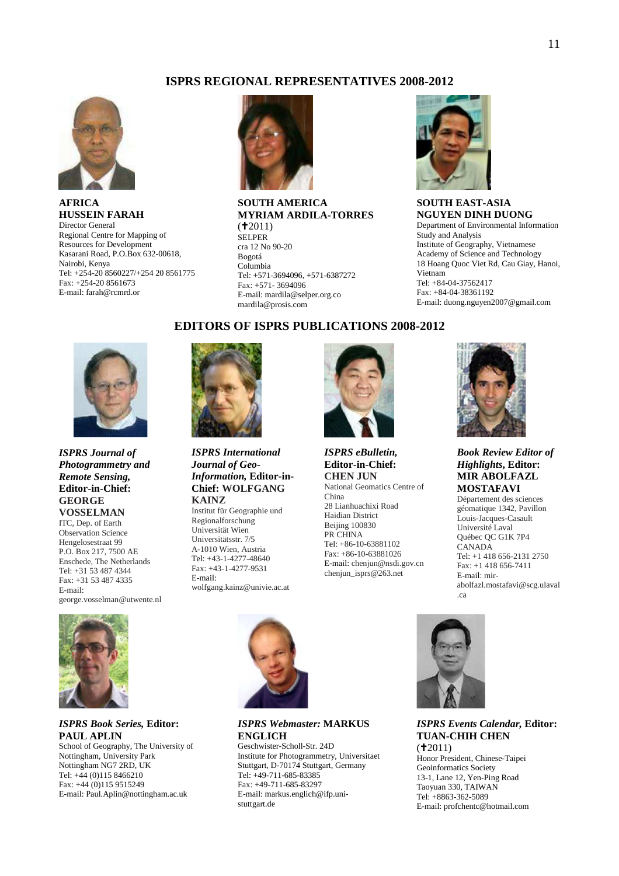## **ISPRS REGIONAL REPRESENTATIVES 2008-2012**



**AFRICA HUSSEIN FARAH**  Director General Regional Centre for Mapping of Resources for Development Kasarani Road, P.O.Box 632-00618, Nairobi, Kenya Tel: +254-20 8560227/+254 20 8561775 Fax: +254-20 8561673 E-mail: farah@rcmrd.or



Fax: +571- 3694096 E-mail: mardila@selper.org.co mardila@prosis.com

#### **SOUTH AMERICA MYRIAM ARDILA-TORRES**   $(12011)$ SELPER cra 12 No 90-20 Bogotá Columbia Tel: +571-3694096, +571-6387272

**EDITORS OF ISPRS PUBLICATIONS 2008-2012** 



**SOUTH EAST-ASIA NGUYEN DINH DUONG**  Department of Environmental Information Study and Analysis Institute of Geography, Vietnamese Academy of Science and Technology 18 Hoang Quoc Viet Rd, Cau Giay, Hanoi, Vietnam Tel: +84-04-37562417 Fax: +84-04-38361192 E-mail: duong.nguyen2007@gmail.com



*ISPRS Journal of Photogrammetry and Remote Sensing,*  **Editor-in-Chief: GEORGE VOSSELMAN** 

ITC, Dep. of Earth Observation Science Hengelosestraat 99 P.O. Box 217, 7500 AE Enschede, The Netherlands Tel: +31 53 487 4344 Fax: +31 53 487 4335 E-mail: george.vosselman@utwente.nl



## *ISPRS Book Series,* **Editor: PAUL APLIN**  School of Geography, The University of

Nottingham, University Park Nottingham NG7 2RD, UK Tel: +44 (0)115 8466210 Fax: +44 (0)115 9515249 E-mail: Paul.Aplin@nottingham.ac.uk



## *ISPRS International Journal of Geo-Information,* **Editor-in-Chief: WOLFGANG KAINZ**

Institut für Geographie und Regionalforschung Universität Wien Universitätsstr. 7/5 A-1010 Wien, Austria Tel: +43-1-4277-48640 Fax: +43-1-4277-9531 E-mail: wolfgang.kainz@univie.ac.at



## *ISPRS eBulletin,*  **Editor-in-Chief: CHEN JUN** National Geomatics Centre of

China 28 Lianhuachixi Road Haidian District Beijing 100830 PR CHINA Tel: +86-10-63881102 Fax: +86-10-63881026 E-mail: chenjun@nsdi.gov.cn chenjun\_isprs@263.net



*Book Review Editor of Highlights***, Editor: MIR ABOLFAZL MOSTAFAVI**

Département des sciences géomatique 1342, Pavillon Louis-Jacques-Casault Université Laval Québec QC G1K 7P4 CANADA Tel: +1 418 656-2131 2750 Fax: +1 418 656-7411 E-mail: mirabolfazl.mostafavi@scg.ulaval .ca



## *ISPRS Webmaster:* **MARKUS ENGLICH**

Geschwister-Scholl-Str. 24D Institute for Photogrammetry, Universitaet Stuttgart, D-70174 Stuttgart, Germany Tel: +49-711-685-83385 Fax: +49-711-685-83297 E-mail: markus.englich@ifp.unistuttgart.de



## *ISPRS Events Calendar,* **Editor: TUAN-CHIH CHEN**   $(12011)$

Honor President, Chinese-Taipei Geoinformatics Society 13-1, Lane 12, Yen-Ping Road Taoyuan 330, TAIWAN Tel: +8863-362-5089 E-mail: profchentc@hotmail.com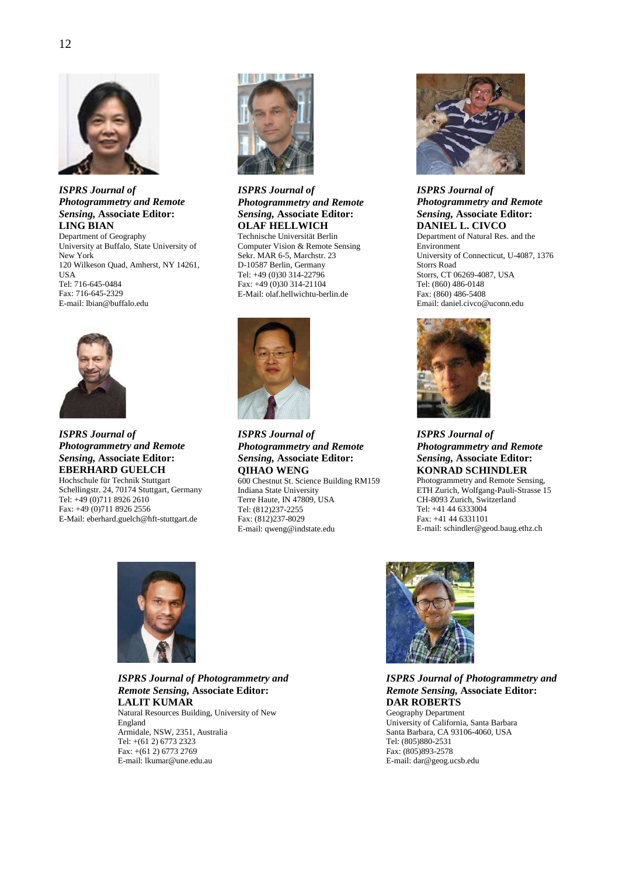

*ISPRS Journal of Photogrammetry and Remote Sensing,* **Associate Editor: LING BIAN** 

Department of Geography University at Buffalo, State University of New York 120 Wilkeson Quad, Amherst, NY 14261, USA Tel: 716-645-0484 Fax: 716-645-2329 E-mail: lbian@buffalo.edu



## *ISPRS Journal of Photogrammetry and Remote Sensing,* **Associate Editor: EBERHARD GUELCH**

Hochschule für Technik Stuttgart Schellingstr. 24, 70174 Stuttgart, Germany Tel: +49 (0)711 8926 2610 Fax: +49 (0)711 8926 2556 E-Mail: eberhard.guelch@hft-stuttgart.de



*ISPRS Journal of Photogrammetry and Remote Sensing,* **Associate Editor: OLAF HELLWICH**  Technische Universität Berlin

Computer Vision & Remote Sensing Sekr. MAR 6-5, Marchstr. 23 D-10587 Berlin, Germany Tel: +49 (0)30 314-22796 Fax: +49 (0)30 314-21104 E-Mail: olaf.hellwichtu-berlin.de



*ISPRS Journal of Photogrammetry and Remote Sensing,* **Associate Editor: QIHAO WENG** 

600 Chestnut St. Science Building RM159 Indiana State University Terre Haute, IN 47809, USA Tel: (812)237-2255 Fax: (812)237-8029 E-mail: qweng@indstate.edu



*ISPRS Journal of Photogrammetry and Remote Sensing,* **Associate Editor: DANIEL L. CIVCO** 

Department of Natural Res. and the Environment University of Connecticut, U-4087, 1376 Storrs Road Storrs, CT 06269-4087, USA Tel: (860) 486-0148 Fax: (860) 486-5408 Email: daniel.civco@uconn.edu



*ISPRS Journal of Photogrammetry and Remote Sensing,* **Associate Editor: KONRAD SCHINDLER**  Photogrammetry and Remote Sensing, ETH Zurich, Wolfgang-Pauli-Strasse 15 CH-8093 Zurich, Switzerland Tel: +41 44 6333004 Fax: +41 44 6331101 E-mail: schindler@geod.baug.ethz.ch



*ISPRS Journal of Photogrammetry and Remote Sensing,* **Associate Editor: LALIT KUMAR**  Natural Resources Building, University of New

England Armidale, NSW, 2351, Australia Tel: +(61 2) 6773 2323 Fax: +(61 2) 6773 2769 E-mail: lkumar@une.edu.au



*ISPRS Journal of Photogrammetry and Remote Sensing,* **Associate Editor: DAR ROBERTS** 

Geography Department University of California, Santa Barbara Santa Barbara, CA 93106-4060, USA Tel: (805)880-2531 Fax: (805)893-2578 E-mail: dar@geog.ucsb.edu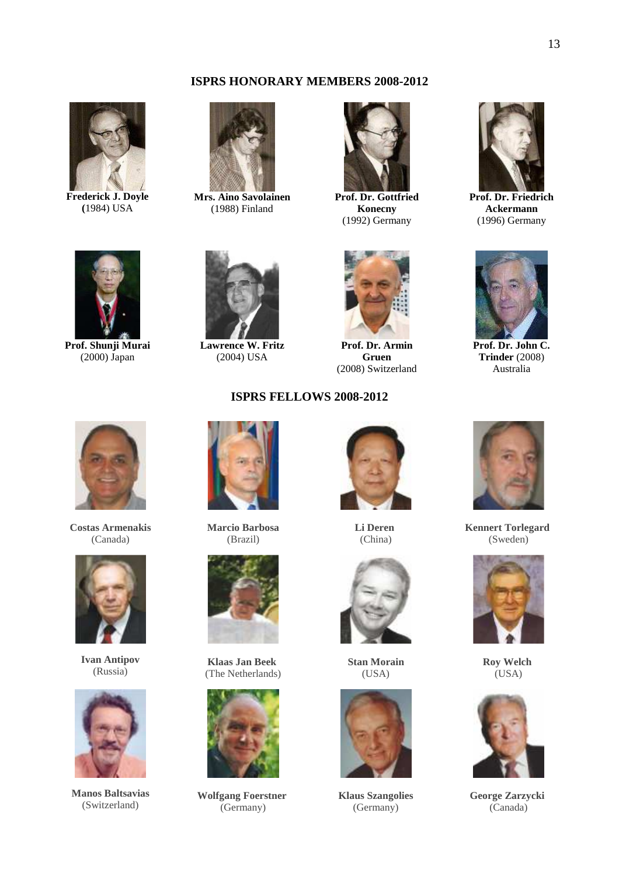## **ISPRS HONORARY MEMBERS 2008-2012**



**Frederick J. Doyle (**1984) USA



**Mrs. Aino Savolainen**  (1988) Finland



**Prof. Dr. Gottfried Konecny**  (1992) Germany



**Prof. Dr. Friedrich Ackermann**  (1996) Germany



**Prof. Shunji Murai**  (2000) Japan



**Lawrence W. Fritz**  (2004) USA



**Prof. Dr. Armin Gruen**  (2008) Switzerland



**Prof. Dr. John C. Trinder** (2008) Australia



**Costas Armenakis**  (Canada)



**Ivan Antipov**  (Russia)



**Manos Baltsavias**  (Switzerland)



**Marcio Barbosa**  (Brazil)



**Klaas Jan Beek**  (The Netherlands)



**Wolfgang Foerstner**  (Germany)



**Li Deren**  (China)



**Stan Morain**  (USA)



**Klaus Szangolies**  (Germany)



**Kennert Torlegard**  (Sweden)



**Roy Welch**  (USA)



**George Zarzycki**  (Canada)

**ISPRS FELLOWS 2008-2012**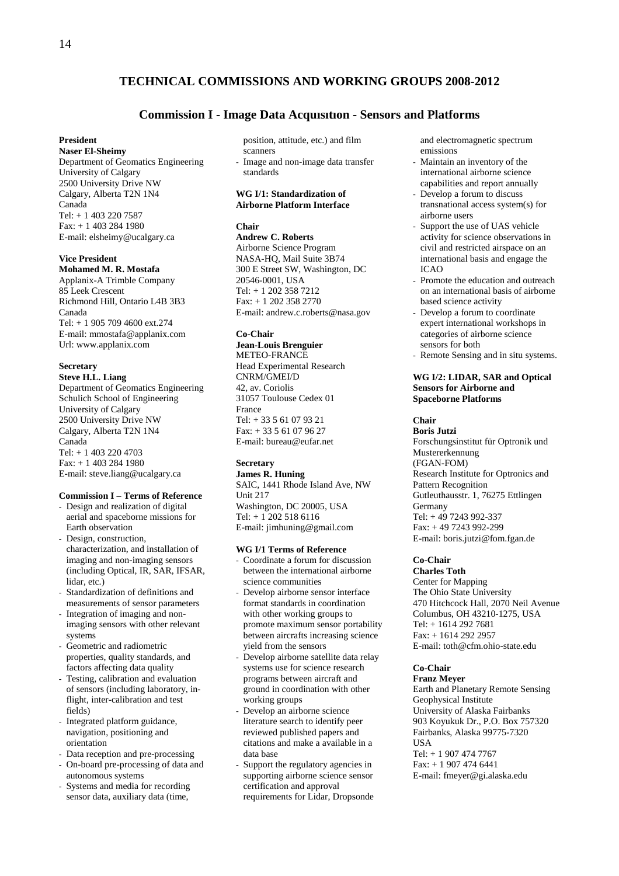## **TECHNICAL COMMISSIONS AND WORKING GROUPS 2008-2012**

## **Commission I - Image Data Acquısıtıon - Sensors and Platforms**

#### **President**

**Naser El-Sheimy**  Department of Geomatics Engineering University of Calgary 2500 University Drive NW Calgary, Alberta T2N 1N4 Canada Tel: + 1 403 220 7587 Fax: + 1 403 284 1980 E-mail: elsheimy@ucalgary.ca

#### **Vice President**

**Mohamed M. R. Mostafa**  Applanix-A Trimble Company 85 Leek Crescent Richmond Hill, Ontario L4B 3B3 Canada Tel: + 1 905 709 4600 ext.274 E-mail: mmostafa@applanix.com Url: www.applanix.com

## **Secretary**

**Steve H.L. Liang**  Department of Geomatics Engineering Schulich School of Engineering University of Calgary 2500 University Drive NW Calgary, Alberta T2N 1N4 Canada Tel: + 1 403 220 4703 Fax: + 1 403 284 1980 E-mail: steve.liang@ucalgary.ca

## **Commission I – Terms of Reference**

- Design and realization of digital aerial and spaceborne missions for Earth observation
- Design, construction, characterization, and installation of imaging and non-imaging sensors (including Optical, IR, SAR, IFSAR, lidar, etc.)
- Standardization of definitions and measurements of sensor parameters
- Integration of imaging and nonimaging sensors with other relevant systems
- Geometric and radiometric properties, quality standards, and factors affecting data quality
- Testing, calibration and evaluation of sensors (including laboratory, inflight, inter-calibration and test fields)
- Integrated platform guidance, navigation, positioning and orientation
- Data reception and pre-processing
- On-board pre-processing of data and autonomous systems
- Systems and media for recording sensor data, auxiliary data (time,

position, attitude, etc.) and film scanners - Image and non-image data transfer standards

## **WG I/1: Standardization of Airborne Platform Interface**

## **Chair**

**Andrew C. Roberts**  Airborne Science Program NASA-HQ, Mail Suite 3B74 300 E Street SW, Washington, DC 20546-0001, USA Tel: + 1 202 358 7212 Fax: + 1 202 358 2770 E-mail: andrew.c.roberts@nasa.gov

## **Co-Chair**

**Jean-Louis Brenguier**  METEO-FRANCE Head Experimental Research CNRM/GMEI/D 42, av. Coriolis 31057 Toulouse Cedex 01 France Tel: + 33 5 61 07 93 21  $Fax: + 33561079627$ E-mail: bureau@eufar.net

#### **Secretary**

**James R. Huning**  SAIC, 1441 Rhode Island Ave, NW Unit 217 Washington, DC 20005, USA Tel: + 1 202 518 6116 E-mail: jimhuning@gmail.com

#### **WG I/1 Terms of Reference**

- Coordinate a forum for discussion between the international airborne science communities
- Develop airborne sensor interface format standards in coordination with other working groups to promote maximum sensor portability between aircrafts increasing science yield from the sensors
- Develop airborne satellite data relay systems use for science research programs between aircraft and ground in coordination with other working groups
- Develop an airborne science literature search to identify peer reviewed published papers and citations and make a available in a data base
- Support the regulatory agencies in supporting airborne science sensor certification and approval requirements for Lidar, Dropsonde
- and electromagnetic spectrum emissions
- Maintain an inventory of the international airborne science capabilities and report annually
- Develop a forum to discuss transnational access system(s) for airborne users
- Support the use of UAS vehicle activity for science observations in civil and restricted airspace on an international basis and engage the ICAO
- Promote the education and outreach on an international basis of airborne based science activity
- Develop a forum to coordinate expert international workshops in categories of airborne science sensors for both
- Remote Sensing and in situ systems.

## **WG I/2: LIDAR, SAR and Optical Sensors for Airborne and Spaceborne Platforms**

## **Chair**

**Boris Jutzi**  Forschungsinstitut für Optronik und Mustererkennung (FGAN-FOM) Research Institute for Optronics and Pattern Recognition Gutleuthausstr. 1, 76275 Ettlingen Germany Tel: + 49 7243 992-337 Fax: + 49 7243 992-299 E-mail: boris.jutzi@fom.fgan.de

#### **Co-Chair**

## **Charles Toth**

Center for Mapping The Ohio State University 470 Hitchcock Hall, 2070 Neil Avenue Columbus, OH 43210-1275, USA Tel: + 1614 292 7681 Fax: + 1614 292 2957 E-mail: toth@cfm.ohio-state.edu

## **Co-Chair**

## **Franz Meyer**

Earth and Planetary Remote Sensing Geophysical Institute University of Alaska Fairbanks 903 Koyukuk Dr., P.O. Box 757320 Fairbanks, Alaska 99775-7320 USA Tel: + 1 907 474 7767 Fax: + 1 907 474 6441 E-mail: fmeyer@gi.alaska.edu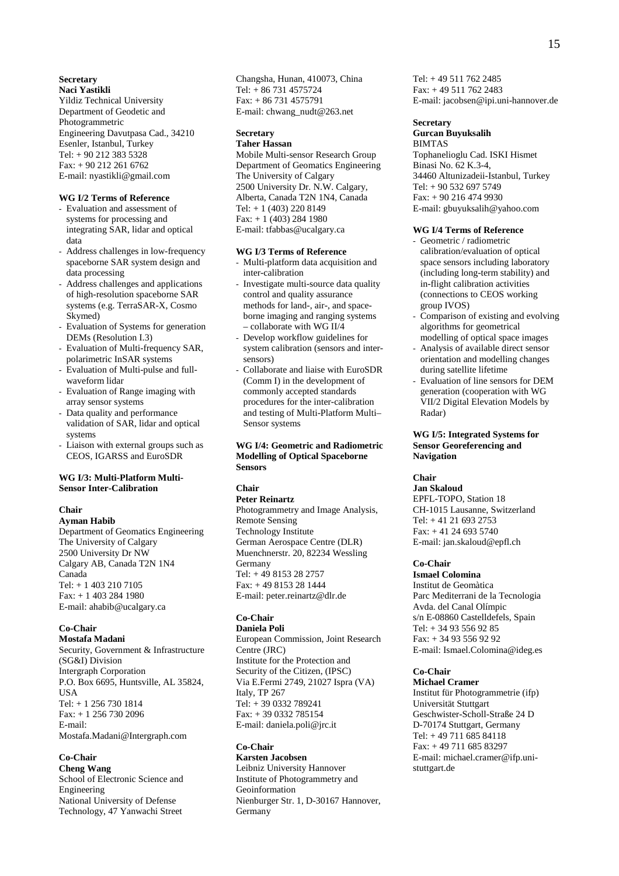## **Secretary**

**Naci Yastikli**  Yildiz Technical University Department of Geodetic and Photogrammetric Engineering Davutpasa Cad., 34210 Esenler, Istanbul, Turkey Tel: + 90 212 383 5328 Fax: + 90 212 261 6762 E-mail: nyastikli@gmail.com

#### **WG I/2 Terms of Reference**

- Evaluation and assessment of systems for processing and integrating SAR, lidar and optical data
- Address challenges in low-frequency spaceborne SAR system design and data processing
- Address challenges and applications of high-resolution spaceborne SAR systems (e.g. TerraSAR-X, Cosmo Skymed)
- Evaluation of Systems for generation DEMs (Resolution I.3)
- Evaluation of Multi-frequency SAR, polarimetric InSAR systems
- Evaluation of Multi-pulse and fullwaveform lidar
- Evaluation of Range imaging with array sensor systems
- Data quality and performance validation of SAR, lidar and optical systems
- Liaison with external groups such as CEOS, IGARSS and EuroSDR

## **WG I/3: Multi-Platform Multi-Sensor Inter-Calibration**

## **Chair**

**Ayman Habib**  Department of Geomatics Engineering The University of Calgary 2500 University Dr NW Calgary AB, Canada T2N 1N4 Canada  $Tel + 14032107105$ Fax: + 1 403 284 1980 E-mail: ahabib@ucalgary.ca

## **Co-Chair**

**Mostafa Madani**  Security, Government & Infrastructure (SG&I) Division Intergraph Corporation P.O. Box 6695, Huntsville, AL 35824, **IISA** Tel: + 1 256 730 1814 Fax: + 1 256 730 2096 E-mail: Mostafa.Madani@Intergraph.com

## **Co-Chair**

**Cheng Wang** School of Electronic Science and Engineering National University of Defense Technology, 47 Yanwachi Street

Changsha, Hunan, 410073, China Tel: + 86 731 4575724 Fax: + 86 731 4575791 E-mail: chwang\_nudt@263.net

## **Secretary**

**Taher Hassan** 

Mobile Multi-sensor Research Group Department of Geomatics Engineering The University of Calgary 2500 University Dr. N.W. Calgary, Alberta, Canada T2N 1N4, Canada Tel: + 1 (403) 220 8149 Fax: + 1 (403) 284 1980 E-mail: tfabbas@ucalgary.ca

#### **WG I/3 Terms of Reference**

- Multi-platform data acquisition and inter-calibration
- Investigate multi-source data quality control and quality assurance methods for land-, air-, and spaceborne imaging and ranging systems – collaborate with WG II/4
- Develop workflow guidelines for system calibration (sensors and intersensors)
- Collaborate and liaise with EuroSDR (Comm I) in the development of commonly accepted standards procedures for the inter-calibration and testing of Multi-Platform Multi– Sensor systems

## **WG I/4: Geometric and Radiometric Modelling of Optical Spaceborne Sensors**

## **Chair**

#### **Peter Reinartz**

Photogrammetry and Image Analysis, Remote Sensing Technology Institute German Aerospace Centre (DLR) Muenchnerstr. 20, 82234 Wessling Germany Tel: + 49 8153 28 2757 Fax: + 49 8153 28 1444 E-mail: peter.reinartz@dlr.de

#### **Co-Chair**

**Daniela Poli**  European Commission, Joint Research Centre (JRC) Institute for the Protection and Security of the Citizen, (IPSC) Via E.Fermi 2749, 21027 Ispra (VA) Italy, TP 267 Tel: + 39 0332 789241 Fax: + 39 0332 785154 E-mail: daniela.poli@jrc.it

## **Co-Chair**

**Karsten Jacobsen**  Leibniz University Hannover Institute of Photogrammetry and Geoinformation Nienburger Str. 1, D-30167 Hannover, Germany

Tel: + 49 511 762 2485 Fax: + 49 511 762 2483 E-mail: jacobsen@ipi.uni-hannover.de

## **Secretary**

#### **Gurcan Buyuksalih**  BIMTAS

Tophanelioglu Cad. ISKI Hismet Binasi No. 62 K.3-4, 34460 Altunizadeii-Istanbul, Turkey Tel: + 90 532 697 5749 Fax: + 90 216 474 9930 E-mail: gbuyuksalih@yahoo.com

#### **WG I/4 Terms of Reference**

- Geometric / radiometric calibration/evaluation of optical space sensors including laboratory (including long-term stability) and in-flight calibration activities (connections to CEOS working group IVOS)
- Comparison of existing and evolving algorithms for geometrical modelling of optical space images
- Analysis of available direct sensor orientation and modelling changes during satellite lifetime
- Evaluation of line sensors for DEM generation (cooperation with WG VII/2 Digital Elevation Models by Radar)

#### **WG I/5: Integrated Systems for Sensor Georeferencing and Navigation**

#### **Chair**

**Jan Skaloud**  EPFL-TOPO, Station 18 CH-1015 Lausanne, Switzerland Tel: + 41 21 693 2753 Fax: + 41 24 693 5740 E-mail: jan.skaloud@epfl.ch

#### **Co-Chair**

**Ismael Colomina**  Institut de Geomàtica Parc Mediterrani de la Tecnologia Avda. del Canal Olímpic s/n E-08860 Castelldefels, Spain Tel: + 34 93 556 92 85 Fax: + 34 93 556 92 92 E-mail: Ismael.Colomina@ideg.es

#### **Co-Chair**

#### **Michael Cramer**

Institut für Photogrammetrie (ifp) Universität Stuttgart Geschwister-Scholl-Straße 24 D D-70174 Stuttgart, Germany Tel: + 49 711 685 84118 Fax: + 49 711 685 83297 E-mail: michael.cramer@ifp.unistuttgart.de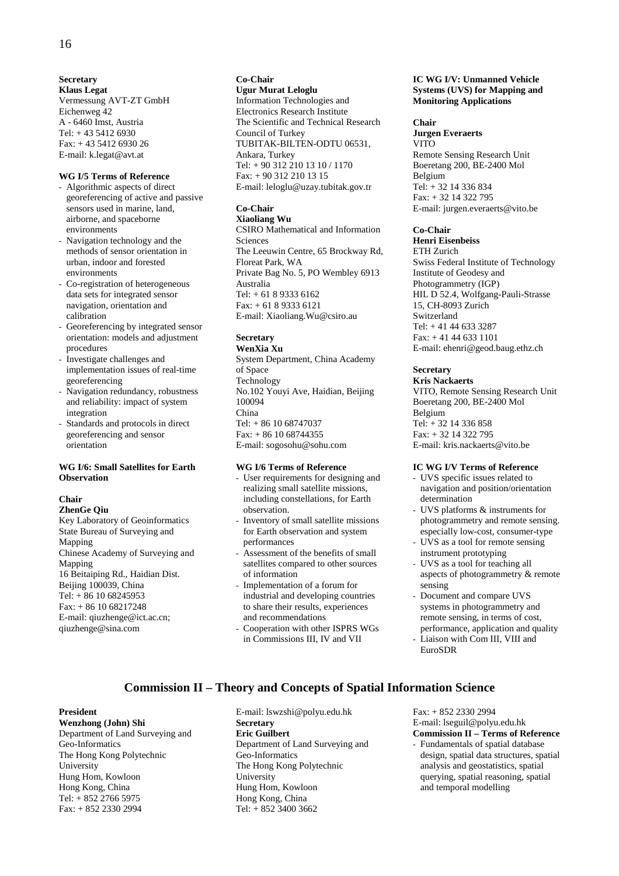**Secretary Klaus Legat**  Vermessung AVT-ZT GmbH Eichenweg 42 A - 6460 Imst, Austria Tel:  $+43\,5412\,6930$ Fax: + 43 5412 6930 26 E-mail: k.legat@avt.at

## **WG I/5 Terms of Reference**

- Algorithmic aspects of direct georeferencing of active and passive sensors used in marine, land, airborne, and spaceborne environments
- Navigation technology and the methods of sensor orientation in urban, indoor and forested environments
- Co-registration of heterogeneous data sets for integrated sensor navigation, orientation and calibration
- Georeferencing by integrated sensor orientation: models and adjustment procedures
- Investigate challenges and implementation issues of real-time georeferencing
- Navigation redundancy, robustness and reliability: impact of system integration
- Standards and protocols in direct georeferencing and sensor orientation

## **WG I/6: Small Satellites for Earth Observation**

#### **Chair**

#### **ZhenGe Qiu**

Key Laboratory of Geoinformatics State Bureau of Surveying and Mapping Chinese Academy of Surveying and Mapping 16 Beitaiping Rd., Haidian Dist. Beijing 100039, China Tel: + 86 10 68245953 Fax: + 86 10 68217248 E-mail: qiuzhenge@ict.ac.cn; qiuzhenge@sina.com

## **Co-Chair Ugur Murat Leloglu**

Information Technologies and Electronics Research Institute The Scientific and Technical Research Council of Turkey TUBITAK-BILTEN-ODTU 06531, Ankara, Turkey Tel: + 90 312 210 13 10 / 1170 Fax: + 90 312 210 13 15 E-mail: leloglu@uzay.tubitak.gov.tr

## **Co-Chair**

**Xiaoliang Wu**  CSIRO Mathematical and Information Sciences The Leeuwin Centre, 65 Brockway Rd, Floreat Park, WA Private Bag No. 5, PO Wembley 6913 Australia Tel: + 61 8 9333 6162  $Fax: + 61893336121$ E-mail: Xiaoliang.Wu@csiro.au

#### **Secretary WenXia Xu**

System Department, China Academy of Space Technology No.102 Youyi Ave, Haidian, Beijing 100094 China Tel: + 86 10 68747037 Fax: + 86 10 68744355 E-mail: sogosohu@sohu.com

## **WG I/6 Terms of Reference**

- User requirements for designing and realizing small satellite missions, including constellations, for Earth observation.
- Inventory of small satellite missions for Earth observation and system performances
- Assessment of the benefits of small satellites compared to other sources of information
- Implementation of a forum for industrial and developing countries to share their results, experiences and recommendations
- Cooperation with other ISPRS WGs in Commissions III, IV and VII

**Commission II – Theory and Concepts of Spatial Information Science**

## **IC WG I/V: Unmanned Vehicle Systems (UVS) for Mapping and Monitoring Applications**

## **Chair**

**Jurgen Everaerts**  VITO Remote Sensing Research Unit Boeretang 200, BE-2400 Mol Belgium Tel: + 32 14 336 834 Fax: + 32 14 322 795 E-mail: jurgen.everaerts@vito.be

## **Co-Chair**

## **Henri Eisenbeiss**

ETH Zurich Swiss Federal Institute of Technology Institute of Geodesy and Photogrammetry (IGP) HIL D 52.4, Wolfgang-Pauli-Strasse 15, CH-8093 Zurich Switzerland Tel: + 41 44 633 3287 Fax: + 41 44 633 1101 E-mail: ehenri@geod.baug.ethz.ch

## **Secretary**

**Kris Nackaerts**  VITO, Remote Sensing Research Unit Boeretang 200, BE-2400 Mol Belgium Tel: + 32 14 336 858 Fax: + 32 14 322 795 E-mail: kris.nackaerts@vito.be

## **IC WG I/V Terms of Reference**

- UVS specific issues related to navigation and position/orientation determination
- UVS platforms & instruments for photogrammetry and remote sensing. especially low-cost, consumer-type
- UVS as a tool for remote sensing instrument prototyping
- UVS as a tool for teaching all aspects of photogrammetry & remote sensing
- Document and compare UVS systems in photogrammetry and remote sensing, in terms of cost, performance, application and quality - Liaison with Com III, VIII and
- EuroSDR

#### **President**

**Wenzhong (John) Shi**  Department of Land Surveying and Geo-Informatics The Hong Kong Polytechnic University Hung Hom, Kowloon Hong Kong, China Tel: + 852 2766 5975 Fax: + 852 2330 2994

E-mail: lswzshi@polyu.edu.hk **Secretary Eric Guilbert**  Department of Land Surveying and Geo-Informatics The Hong Kong Polytechnic University Hung Hom, Kowloon Hong Kong, China Tel: + 852 3400 3662

Fax: + 852 2330 2994 E-mail: lseguil@polyu.edu.hk

## **Commission II – Terms of Reference**

Fundamentals of spatial database design, spatial data structures, spatial analysis and geostatistics, spatial querying, spatial reasoning, spatial and temporal modelling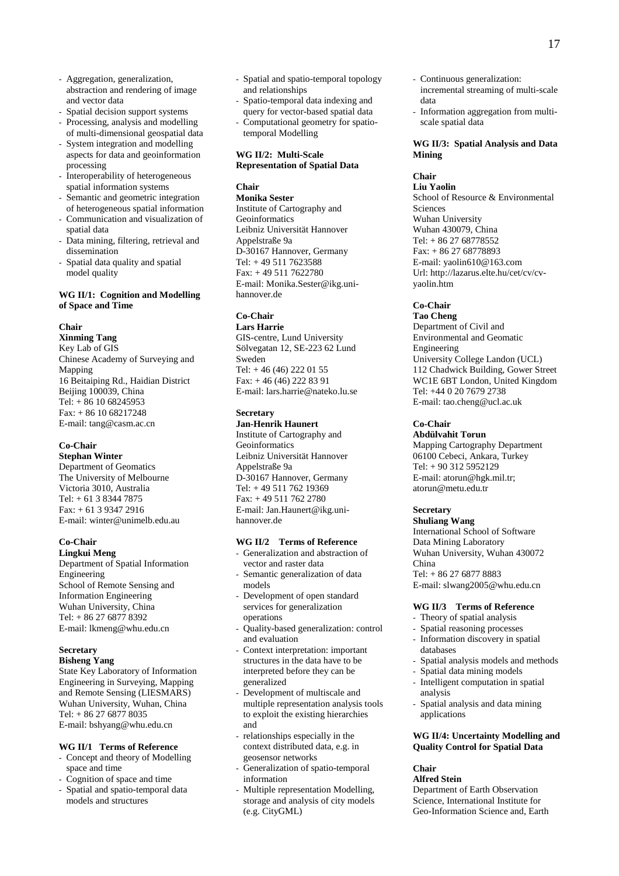17

- Aggregation, generalization, abstraction and rendering of image and vector data
- Spatial decision support systems
- Processing, analysis and modelling of multi-dimensional geospatial data
- System integration and modelling aspects for data and geoinformation processing
- Interoperability of heterogeneous spatial information systems
- Semantic and geometric integration of heterogeneous spatial information - Communication and visualization of
- spatial data
- Data mining, filtering, retrieval and dissemination
- Spatial data quality and spatial model quality

## **WG II/1: Cognition and Modelling of Space and Time**

## **Chair**

**Xinming Tang** 

Key Lab of GIS Chinese Academy of Surveying and Mapping 16 Beitaiping Rd., Haidian District Beijing 100039, China Tel: + 86 10 68245953 Fax: + 86 10 68217248 E-mail: tang@casm.ac.cn

## **Co-Chair**

**Stephan Winter**  Department of Geomatics The University of Melbourne Victoria 3010, Australia Tel: + 61 3 8344 7875 Fax: + 61 3 9347 2916 E-mail: winter@unimelb.edu.au

## **Co-Chair**

**Lingkui Meng**  Department of Spatial Information Engineering School of Remote Sensing and Information Engineering Wuhan University, China Tel: + 86 27 6877 8392 E-mail: lkmeng@whu.edu.cn

## **Secretary**

## **Bisheng Yang**

State Key Laboratory of Information Engineering in Surveying, Mapping and Remote Sensing (LIESMARS) Wuhan University, Wuhan, China Tel: + 86 27 6877 8035 E-mail: bshyang@whu.edu.cn

## **WG II/1 Terms of Reference**

- Concept and theory of Modelling space and time
- Cognition of space and time
- Spatial and spatio-temporal data models and structures
- Spatial and spatio-temporal topology and relationships
- Spatio-temporal data indexing and query for vector-based spatial data
- Computational geometry for spatiotemporal Modelling

## **WG II/2: Multi-Scale Representation of Spatial Data**

## **Chair**

**Monika Sester**  Institute of Cartography and Geoinformatics Leibniz Universität Hannover Appelstraße 9a D-30167 Hannover, Germany Tel: + 49 511 7623588 Fax: + 49 511 7622780 E-mail: Monika.Sester@ikg.unihannover.de

## **Co-Chair**

**Lars Harrie**  GIS-centre, Lund University Sölvegatan 12, SE-223 62 Lund Sweden Tel: + 46 (46) 222 01 55 Fax: + 46 (46) 222 83 91 E-mail: lars.harrie@nateko.lu.se

## **Secretary**

## **Jan-Henrik Haunert**  Institute of Cartography and Geoinformatics Leibniz Universität Hannover Appelstraße 9a D-30167 Hannover, Germany Tel: + 49 511 762 19369 Fax: + 49 511 762 2780

E-mail: Jan.Haunert@ikg.unihannover.de

## **WG II/2 Terms of Reference**

- Generalization and abstraction of vector and raster data
- Semantic generalization of data models
- Development of open standard services for generalization operations
- Quality-based generalization: control and evaluation
- Context interpretation: important structures in the data have to be interpreted before they can be generalized
- Development of multiscale and multiple representation analysis tools to exploit the existing hierarchies and
- relationships especially in the context distributed data, e.g. in geosensor networks
- Generalization of spatio-temporal information
- Multiple representation Modelling, storage and analysis of city models (e.g. CityGML)
- Continuous generalization: incremental streaming of multi-scale data
- Information aggregation from multiscale spatial data

## **WG II/3: Spatial Analysis and Data Mining**

## **Chair**

**Liu Yaolin**  School of Resource & Environmental **Sciences** Wuhan University Wuhan 430079, China Tel: + 86 27 68778552 Fax: + 86 27 68778893 E-mail: yaolin610@163.com Url: http://lazarus.elte.hu/cet/cv/cvyaolin.htm

## **Co-Chair**

**Tao Cheng**  Department of Civil and Environmental and Geomatic Engineering University College Landon (UCL) 112 Chadwick Building, Gower Street WC1E 6BT London, United Kingdom Tel: +44 0 20 7679 2738 E-mail: tao.cheng@ucl.ac.uk

## **Co-Chair**

**Abdülvahit Torun**  Mapping Cartography Department 06100 Cebeci, Ankara, Turkey Tel: + 90 312 5952129 E-mail: atorun@hgk.mil.tr; atorun@metu.edu.tr

## **Secretary**

**Shuliang Wang**  International School of Software Data Mining Laboratory Wuhan University, Wuhan 430072 China Tel: + 86 27 6877 8883

E-mail: slwang2005@whu.edu.cn

## **WG II/3 Terms of Reference**

- Theory of spatial analysis
- Spatial reasoning processes
- Information discovery in spatial databases
- Spatial analysis models and methods
- Spatial data mining models<br>- Intelligent computation in s
- Intelligent computation in spatial analysis
- Spatial analysis and data mining applications

## **WG II/4: Uncertainty Modelling and Quality Control for Spatial Data**

## **Chair**

**Alfred Stein**  Department of Earth Observation Science, International Institute for Geo-Information Science and, Earth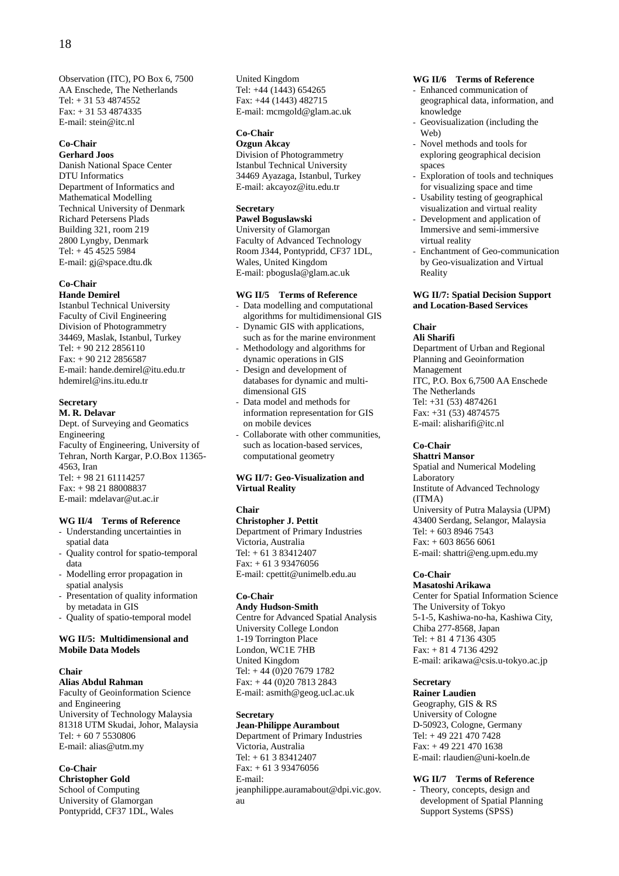Observation (ITC), PO Box 6, 7500 AA Enschede, The Netherlands  $Tel: + 31 53 4874552$ Fax: + 31 53 4874335 E-mail: stein@itc.nl

## **Co-Chair**

**Gerhard Joos**  Danish National Space Center DTU Informatics Department of Informatics and Mathematical Modelling Technical University of Denmark Richard Petersens Plads Building 321, room 219 2800 Lyngby, Denmark Tel:  $+45\,4525\,5984$ E-mail: gj@space.dtu.dk

## **Co-Chair**

**Hande Demirel**  Istanbul Technical University

Faculty of Civil Engineering Division of Photogrammetry 34469, Maslak, Istanbul, Turkey Tel: + 90 212 2856110 Fax: + 90 212 2856587 E-mail: hande.demirel@itu.edu.tr hdemirel@ins.itu.edu.tr

## **Secretary**

**M. R. Delavar**  Dept. of Surveying and Geomatics Engineering Faculty of Engineering, University of Tehran, North Kargar, P.O.Box 11365- 4563, Iran Tel: + 98 21 61114257 Fax: + 98 21 88008837 E-mail: mdelavar@ut.ac.ir

## **WG II/4 Terms of Reference**

- Understanding uncertainties in spatial data
- Quality control for spatio-temporal data
- Modelling error propagation in spatial analysis
- Presentation of quality information by metadata in GIS
- Quality of spatio-temporal model

## **WG II/5: Multidimensional and Mobile Data Models**

### **Chair**

## **Alias Abdul Rahman**

Faculty of Geoinformation Science and Engineering University of Technology Malaysia 81318 UTM Skudai, Johor, Malaysia Tel: + 60 7 5530806 E-mail: alias@utm.my

## **Co-Chair**

**Christopher Gold**  School of Computing University of Glamorgan Pontypridd, CF37 1DL, Wales United Kingdom Tel: +44 (1443) 654265 Fax: +44 (1443) 482715 E-mail: mcmgold@glam.ac.uk

## **Co-Chair**

**Ozgun Akcay**  Division of Photogrammetry Istanbul Technical University 34469 Ayazaga, Istanbul, Turkey E-mail: akcayoz@itu.edu.tr

## **Secretary**

**Pawel Boguslawski** 

University of Glamorgan Faculty of Advanced Technology Room J344, Pontypridd, CF37 1DL, Wales, United Kingdom E-mail: pbogusla@glam.ac.uk

#### **WG II/5 Terms of Reference**

- Data modelling and computational algorithms for multidimensional GIS
- Dynamic GIS with applications, such as for the marine environment
- Methodology and algorithms for dynamic operations in GIS
- Design and development of databases for dynamic and multidimensional GIS
- Data model and methods for information representation for GIS on mobile devices
- Collaborate with other communities, such as location-based services, computational geometry

## **WG II/7: Geo-Visualization and Virtual Reality**

#### **Chair**

**Christopher J. Pettit**  Department of Primary Industries Victoria, Australia Tel: + 61 3 83412407 Fax: + 61 3 93476056 E-mail: cpettit@unimelb.edu.au

## **Co-Chair**

**Andy Hudson-Smith**  Centre for Advanced Spatial Analysis University College London 1-19 Torrington Place London, WC1E 7HB United Kingdom Tel: + 44 (0)20 7679 1782 Fax: + 44 (0)20 7813 2843 E-mail: asmith@geog.ucl.ac.uk

## **Secretary**

**Jean-Philippe Aurambout**  Department of Primary Industries Victoria, Australia Tel: + 61 3 83412407 Fax: + 61 3 93476056 E-mail: jeanphilippe.auramabout@dpi.vic.gov. au

## **WG II/6 Terms of Reference**

- Enhanced communication of geographical data, information, and knowledge
- Geovisualization (including the Web)
- Novel methods and tools for exploring geographical decision spaces
- Exploration of tools and techniques for visualizing space and time
- Usability testing of geographical visualization and virtual reality
- Development and application of Immersive and semi-immersive virtual reality
- Enchantment of Geo-communication by Geo-visualization and Virtual Reality

## **WG II/7: Spatial Decision Support and Location-Based Services**

## **Chair**

## **Ali Sharifi**

Department of Urban and Regional Planning and Geoinformation Management ITC, P.O. Box 6,7500 AA Enschede The Netherlands Tel: +31 (53) 4874261 Fax: +31 (53) 4874575 E-mail: alisharifi@itc.nl

#### **Co-Chair**

**Shattri Mansor**  Spatial and Numerical Modeling Laboratory Institute of Advanced Technology (ITMA) University of Putra Malaysia (UPM) 43400 Serdang, Selangor, Malaysia Tel:  $+ 60389467543$ Fax: + 603 8656 6061 E-mail: shattri@eng.upm.edu.my

## **Co-Chair**

**Masatoshi Arikawa**  Center for Spatial Information Science The University of Tokyo 5-1-5, Kashiwa-no-ha, Kashiwa City, Chiba 277-8568, Japan Tel: + 81 4 7136 4305 Fax: + 81 4 7136 4292 E-mail: arikawa@csis.u-tokyo.ac.jp

## **Secretary**

**Rainer Laudien**  Geography, GIS & RS University of Cologne D-50923, Cologne, Germany Tel: + 49 221 470 7428 Fax: + 49 221 470 1638 E-mail: rlaudien@uni-koeln.de

## **WG II/7 Terms of Reference**

- Theory, concepts, design and development of Spatial Planning Support Systems (SPSS)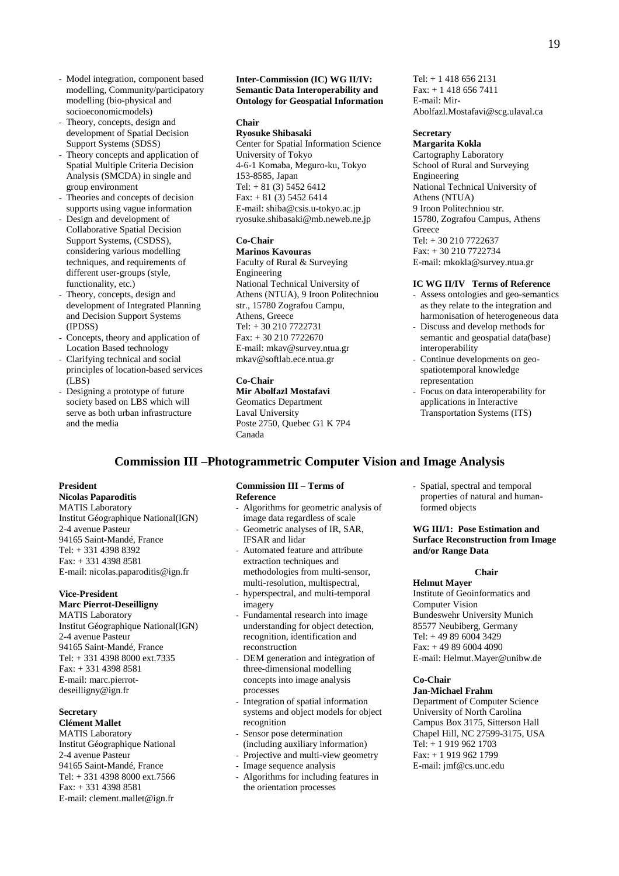- Model integration, component based modelling, Community/participatory modelling (bio-physical and socioeconomicmodels)
- Theory, concepts, design and development of Spatial Decision Support Systems (SDSS)
- Theory concepts and application of Spatial Multiple Criteria Decision Analysis (SMCDA) in single and group environment
- Theories and concepts of decision supports using vague information
- Design and development of Collaborative Spatial Decision Support Systems, (CSDSS), considering various modelling techniques, and requirements of different user-groups (style, functionality, etc.)
- Theory, concepts, design and development of Integrated Planning and Decision Support Systems (IPDSS)
- Concepts, theory and application of Location Based technology
- Clarifying technical and social principles of location-based services (LBS)
- Designing a prototype of future society based on LBS which will serve as both urban infrastructure and the media

#### **Inter-Commission (IC) WG II/IV: Semantic Data Interoperability and Ontology for Geospatial Information**

## **Chair**

**Ryosuke Shibasaki**  Center for Spatial Information Science University of Tokyo 4-6-1 Komaba, Meguro-ku, Tokyo 153-8585, Japan Tel:  $+81(3)$  5452 6412 Fax: + 81 (3) 5452 6414 E-mail: shiba@csis.u-tokyo.ac.jp ryosuke.shibasaki@mb.neweb.ne.jp

## **Co-Chair**

**Marinos Kavouras**  Faculty of Rural & Surveying Engineering National Technical University of Athens (NTUA), 9 Iroon Politechniou str., 15780 Zografou Campu, Athens, Greece Tel: + 30 210 7722731 Fax: + 30 210 7722670 E-mail: mkav@survey.ntua.gr mkav@softlab.ece.ntua.gr

## **Co-Chair**

**Mir Abolfazl Mostafavi**  Geomatics Department Laval University Poste 2750, Quebec G1 K 7P4 Canada

Tel: + 1 418 656 2131 Fax: + 1 418 656 7411 E-mail: Mir-Abolfazl.Mostafavi@scg.ulaval.ca

## **Secretary**

**Margarita Kokla**  Cartography Laboratory School of Rural and Surveying Engineering National Technical University of Athens (NTUA) 9 Iroon Politechniou str. 15780, Zografou Campus, Athens Greece Tel: + 30 210 7722637 Fax: + 30 210 7722734 E-mail: mkokla@survey.ntua.gr

#### **IC WG II/IV Terms of Reference**

- Assess ontologies and geo-semantics as they relate to the integration and harmonisation of heterogeneous data - Discuss and develop methods for semantic and geospatial data(base) interoperability
- Continue developments on geospatiotemporal knowledge representation
- Focus on data interoperability for applications in Interactive Transportation Systems (ITS)

## **Commission III –Photogrammetric Computer Vision and Image Analysis**

## **President**

**Nicolas Paparoditis**  MATIS Laboratory Institut Géographique National(IGN) 2-4 avenue Pasteur 94165 Saint-Mandé, France Tel: + 331 4398 8392 Fax: + 331 4398 8581 E-mail: nicolas.paparoditis@ign.fr

## **Vice-President**

**Marc Pierrot-Deseilligny** 

MATIS Laboratory Institut Géographique National(IGN) 2-4 avenue Pasteur 94165 Saint-Mandé, France Tel: + 331 4398 8000 ext.7335 Fax: + 331 4398 8581 E-mail: marc.pierrotdeseilligny@ign.fr

## **Secretary**

**Clément Mallet**  MATIS Laboratory Institut Géographique National 2-4 avenue Pasteur 94165 Saint-Mandé, France Tel: + 331 4398 8000 ext.7566 Fax: + 331 4398 8581 E-mail: clement.mallet@ign.fr

## **Commission III – Terms of Reference**

- Algorithms for geometric analysis of image data regardless of scale
- Geometric analyses of IR, SAR, IFSAR and lidar - Automated feature and attribute extraction techniques and methodologies from multi-sensor,
- multi-resolution, multispectral, hyperspectral, and multi-temporal
- imagery Fundamental research into image understanding for object detection,
- recognition, identification and reconstruction - DEM generation and integration of
- three-dimensional modelling concepts into image analysis processes
- Integration of spatial information systems and object models for object recognition
- Sensor pose determination (including auxiliary information)
- Projective and multi-view geometry
- Image sequence analysis
- Algorithms for including features in the orientation processes

- Spatial, spectral and temporal properties of natural and humanformed objects

## **WG III/1: Pose Estimation and Surface Reconstruction from Image and/or Range Data**

#### **Chair**

**Helmut Mayer**  Institute of Geoinformatics and Computer Vision Bundeswehr University Munich 85577 Neubiberg, Germany Tel: + 49 89 6004 3429 Fax: + 49 89 6004 4090 E-mail: Helmut.Mayer@unibw.de

## **Co-Chair**

**Jan-Michael Frahm**  Department of Computer Science University of North Carolina Campus Box 3175, Sitterson Hall Chapel Hill, NC 27599-3175, USA Tel: + 1 919 962 1703 Fax: + 1 919 962 1799 E-mail: jmf@cs.unc.edu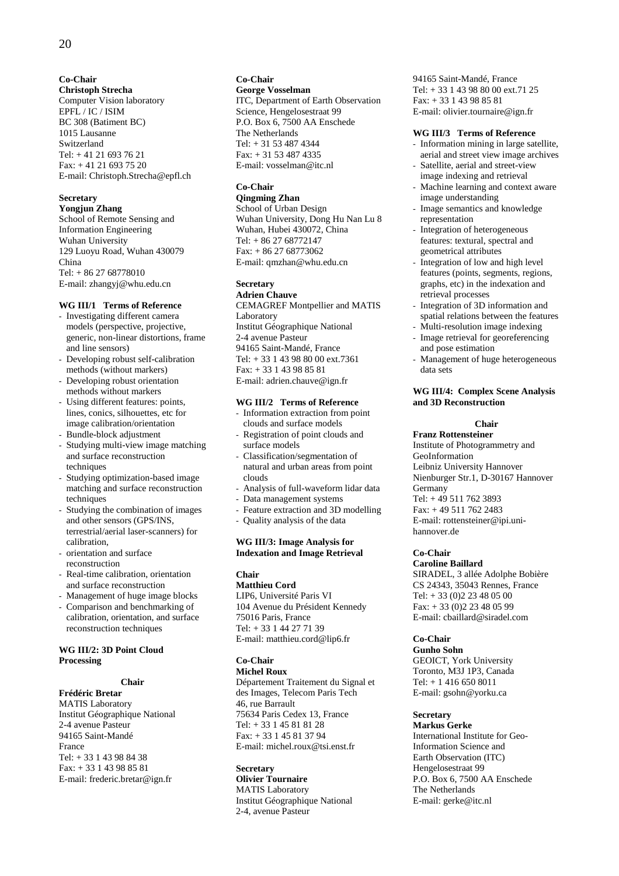## **Co-Chair**

**Christoph Strecha**  Computer Vision laboratory EPFL / IC / ISIM BC 308 (Batiment BC) 1015 Lausanne Switzerland Tel: + 41 21 693 76 21 Fax: + 41 21 693 75 20 E-mail: Christoph.Strecha@epfl.ch

## **Secretary**

**Yongjun Zhang**  School of Remote Sensing and Information Engineering Wuhan University 129 Luoyu Road, Wuhan 430079 China Tel: + 86 27 68778010 E-mail: zhangyj@whu.edu.cn

## **WG III/1 Terms of Reference**

- Investigating different camera models (perspective, projective, generic, non-linear distortions, frame and line sensors)
- Developing robust self-calibration methods (without markers) - Developing robust orientation
- methods without markers
- Using different features: points, lines, conics, silhouettes, etc for image calibration/orientation
- Bundle-block adjustment
- Studying multi-view image matching and surface reconstruction techniques
- Studying optimization-based image matching and surface reconstruction techniques
- Studying the combination of images and other sensors (GPS/INS, terrestrial/aerial laser-scanners) for calibration,
- orientation and surface reconstruction
- Real-time calibration, orientation and surface reconstruction
- Management of huge image blocks
- Comparison and benchmarking of calibration, orientation, and surface reconstruction techniques

## **WG III/2: 3D Point Cloud Processing**

#### **Chair**

**Frédéric Bretar**  MATIS Laboratory Institut Géographique National 2-4 avenue Pasteur 94165 Saint-Mandé France Tel: + 33 1 43 98 84 38 Fax: + 33 1 43 98 85 81 E-mail: frederic.bretar@ign.fr

## **Co-Chair**

**George Vosselman**  ITC, Department of Earth Observation Science, Hengelosestraat 99 P.O. Box 6, 7500 AA Enschede The Netherlands Tel: + 31 53 487 4344 Fax: + 31 53 487 4335 E-mail: vosselman@itc.nl

## **Co-Chair**

**Qingming Zhan**  School of Urban Design Wuhan University, Dong Hu Nan Lu 8 Wuhan, Hubei 430072, China Tel: + 86 27 68772147 Fax: + 86 27 68773062 E-mail: qmzhan@whu.edu.cn

## **Secretary**

**Adrien Chauve**  CEMAGREF Montpellier and MATIS Laboratory Institut Géographique National 2-4 avenue Pasteur 94165 Saint-Mandé, France Tel: + 33 1 43 98 80 00 ext.7361 Fax: + 33 1 43 98 85 81 E-mail: adrien.chauve@ign.fr

## **WG III/2 Terms of Reference**

- Information extraction from point clouds and surface models
- Registration of point clouds and surface models
- Classification/segmentation of natural and urban areas from point clouds
- Analysis of full-waveform lidar data
- Data management systems
- Feature extraction and 3D modelling
- Quality analysis of the data

## **WG III/3: Image Analysis for Indexation and Image Retrieval**

#### **Chair Matthieu Cord**

LIP6, Université Paris VI 104 Avenue du Président Kennedy 75016 Paris, France Tel: + 33 1 44 27 71 39 E-mail: matthieu.cord@lip6.fr

## **Co-Chair**

**Michel Roux**  Département Traitement du Signal et des Images, Telecom Paris Tech 46, rue Barrault 75634 Paris Cedex 13, France Tel: + 33 1 45 81 81 28 Fax: + 33 1 45 81 37 94 E-mail: michel.roux@tsi.enst.fr

## **Secretary**

**Olivier Tournaire**  MATIS Laboratory Institut Géographique National 2-4, avenue Pasteur

94165 Saint-Mandé, France Tel: + 33 1 43 98 80 00 ext.71 25 Fax: + 33 1 43 98 85 81 E-mail: olivier.tournaire@ign.fr

## **WG III/3 Terms of Reference**

- Information mining in large satellite, aerial and street view image archives Satellite, aerial and street-view
- image indexing and retrieval Machine learning and context aware
- image understanding
- Image semantics and knowledge representation
- Integration of heterogeneous features: textural, spectral and geometrical attributes
- Integration of low and high level features (points, segments, regions, graphs, etc) in the indexation and retrieval processes
- Integration of 3D information and spatial relations between the features
- Multi-resolution image indexing - Image retrieval for georeferencing
- and pose estimation
- Management of huge heterogeneous data sets

## **WG III/4: Complex Scene Analysis and 3D Reconstruction**

## **Chair**

**Franz Rottensteiner**  Institute of Photogrammetry and GeoInformation Leibniz University Hannover Nienburger Str.1, D-30167 Hannover Germany Tel: + 49 511 762 3893 Fax: + 49 511 762 2483 E-mail: rottensteiner@ipi.unihannover.de

## **Co-Chair**

**Caroline Baillard**  SIRADEL, 3 allée Adolphe Bobière CS 24343, 35043 Rennes, France Tel: + 33 (0)2 23 48 05 00 Fax: + 33 (0)2 23 48 05 99 E-mail: cbaillard@siradel.com

## **Co-Chair**

**Gunho Sohn**  GEOICT, York University Toronto, M3J 1P3, Canada Tel: + 1 416 650 8011 E-mail: gsohn@yorku.ca

## **Secretary**

**Markus Gerke**  International Institute for Geo-Information Science and Earth Observation (ITC) Hengelosestraat 99 P.O. Box 6, 7500 AA Enschede The Netherlands E-mail: gerke@itc.nl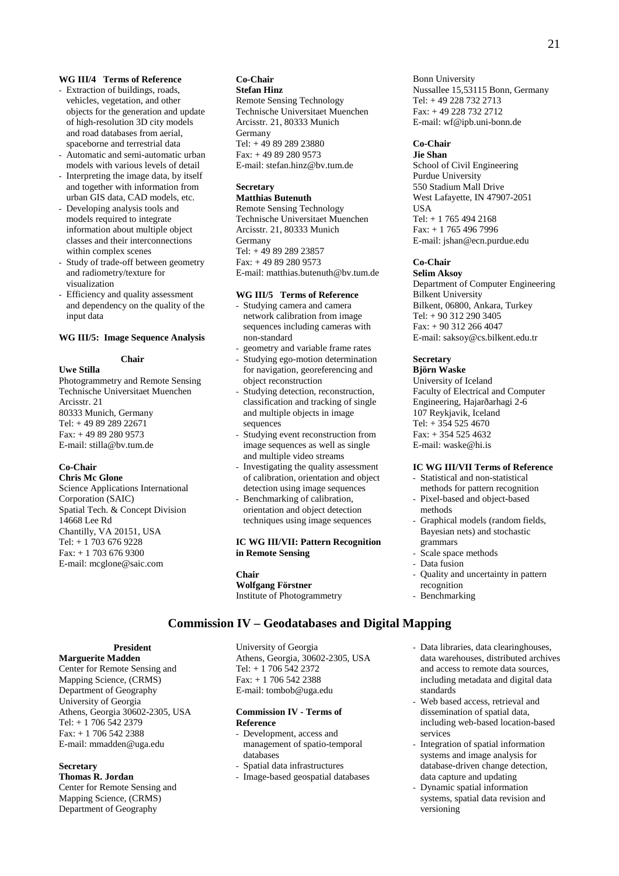## **WG III/4 Terms of Reference**

- Extraction of buildings, roads, vehicles, vegetation, and other objects for the generation and update of high-resolution 3D city models and road databases from aerial, spaceborne and terrestrial data
- Automatic and semi-automatic urban models with various levels of detail
- Interpreting the image data, by itself and together with information from urban GIS data, CAD models, etc.
- Developing analysis tools and models required to integrate information about multiple object classes and their interconnections within complex scenes
- Study of trade-off between geometry and radiometry/texture for visualization
- Efficiency and quality assessment and dependency on the quality of the input data

## **WG III/5: Image Sequence Analysis**

## **Chair**

**Uwe Stilla**  Photogrammetry and Remote Sensing Technische Universitaet Muenchen Arcisstr. 21 80333 Munich, Germany Tel: + 49 89 289 22671 Fax: + 49 89 280 9573 E-mail: stilla@bv.tum.de

#### **Co-Chair**

**Chris Mc Glone**  Science Applications International Corporation (SAIC) Spatial Tech. & Concept Division 14668 Lee Rd Chantilly, VA 20151, USA Tel: + 1 703 676 9228 Fax: + 1 703 676 9300 E-mail: mcglone@saic.com

#### **Co-Chair Stefan Hinz**

Remote Sensing Technology Technische Universitaet Muenchen Arcisstr. 21, 80333 Munich Germany Tel: + 49 89 289 23880 Fax: + 49 89 280 9573 E-mail: stefan.hinz@bv.tum.de

## **Secretary**

**Matthias Butenuth**  Remote Sensing Technology Technische Universitaet Muenchen Arcisstr. 21, 80333 Munich Germany Tel: + 49 89 289 23857 Fax: + 49 89 280 9573 E-mail: matthias.butenuth@bv.tum.de

## **WG III/5 Terms of Reference**

- Studying camera and camera network calibration from image sequences including cameras with non-standard
- geometry and variable frame rates Studying ego-motion determination
- for navigation, georeferencing and object reconstruction
- Studying detection, reconstruction, classification and tracking of single and multiple objects in image sequences
- Studying event reconstruction from image sequences as well as single and multiple video streams
- Investigating the quality assessment of calibration, orientation and object detection using image sequences
- Benchmarking of calibration, orientation and object detection techniques using image sequences

## **IC WG III/VII: Pattern Recognition in Remote Sensing**

#### **Chair Wolfgang Förstner**  Institute of Photogrammetry

## **Commission IV – Geodatabases and Digital Mapping**

**President** 

## **Marguerite Madden**

Center for Remote Sensing and Mapping Science, (CRMS) Department of Geography University of Georgia Athens, Georgia 30602-2305, USA Tel: + 1 706 542 2379 Fax: + 1 706 542 2388 E-mail: mmadden@uga.edu

#### **Secretary**

**Thomas R. Jordan**  Center for Remote Sensing and Mapping Science, (CRMS) Department of Geography

University of Georgia Athens, Georgia, 30602-2305, USA Tel: + 1 706 542 2372 Fax: + 1 706 542 2388 E-mail: tombob@uga.edu

## **Commission IV - Terms of Reference**

- Development, access and management of spatio-temporal databases
- Spatial data infrastructures
- Image-based geospatial databases

Bonn University Nussallee 15,53115 Bonn, Germany Tel: + 49 228 732 2713 Fax: + 49 228 732 2712 E-mail: wf@ipb.uni-bonn.de

#### **Co-Chair Jie Shan**

School of Civil Engineering Purdue University 550 Stadium Mall Drive West Lafayette, IN 47907-2051 **IISA** Tel: + 1 765 494 2168 Fax: + 1 765 496 7996 E-mail: jshan@ecn.purdue.edu

## **Co-Chair**

**Selim Aksoy**  Department of Computer Engineering Bilkent University Bilkent, 06800, Ankara, Turkey Tel: + 90 312 290 3405 Fax: + 90 312 266 4047 E-mail: saksoy@cs.bilkent.edu.tr

## **Secretary**

## **Björn Waske**

University of Iceland Faculty of Electrical and Computer Engineering, Hajarðarhagi 2-6 107 Reykjavik, Iceland Tel: + 354 525 4670 Fax: + 354 525 4632 E-mail: waske@hi.is

## **IC WG III/VII Terms of Reference**

- Statistical and non-statistical methods for pattern recognition
- Pixel-based and object-based methods
- Graphical models (random fields, Bayesian nets) and stochastic grammars
- Scale space methods
- Data fusion
- Quality and uncertainty in pattern recognition
- Benchmarking
- Data libraries, data clearinghouses, data warehouses, distributed archives and access to remote data sources, including metadata and digital data standards
- Web based access, retrieval and dissemination of spatial data, including web-based location-based services
- Integration of spatial information systems and image analysis for database-driven change detection, data capture and updating
- Dynamic spatial information systems, spatial data revision and versioning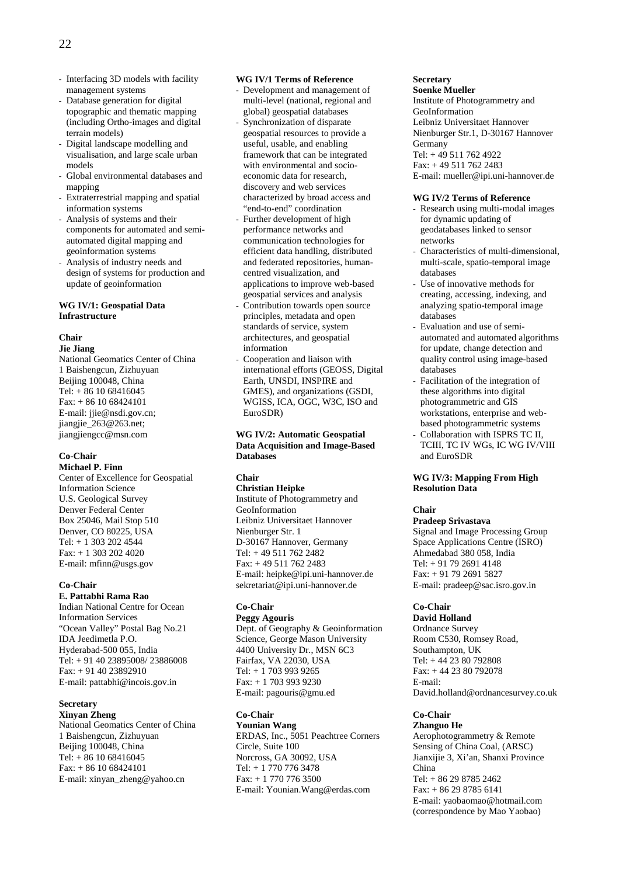- Interfacing 3D models with facility management systems
- Database generation for digital topographic and thematic mapping (including Ortho-images and digital terrain models)
- Digital landscape modelling and visualisation, and large scale urban models
- Global environmental databases and mapping
- Extraterrestrial mapping and spatial information systems
- Analysis of systems and their components for automated and semiautomated digital mapping and geoinformation systems
- Analysis of industry needs and design of systems for production and update of geoinformation

## **WG IV/1: Geospatial Data Infrastructure**

## **Chair**

**Jie Jiang** 

National Geomatics Center of China 1 Baishengcun, Zizhuyuan Beijing 100048, China Tel: + 86 10 68416045 Fax: + 86 10 68424101 E-mail: jjie@nsdi.gov.cn; jiangjie\_263@263.net; jiangjiengcc@msn.com

#### **Co-Chair Michael P. Finn**

Center of Excellence for Geospatial Information Science U.S. Geological Survey Denver Federal Center Box 25046, Mail Stop 510 Denver, CO 80225, USA Tel: + 1 303 202 4544 Fax: + 1 303 202 4020 E-mail: mfinn@usgs.gov

## **Co-Chair**

**E. Pattabhi Rama Rao**  Indian National Centre for Ocean Information Services "Ocean Valley" Postal Bag No.21 IDA Jeedimetla P.O. Hyderabad-500 055, India Tel: + 91 40 23895008/ 23886008 Fax: + 91 40 23892910 E-mail: pattabhi@incois.gov.in

## **Secretary**

**Xinyan Zheng**  National Geomatics Center of China 1 Baishengcun, Zizhuyuan Beijing 100048, China Tel: + 86 10 68416045 Fax: + 86 10 68424101 E-mail: xinyan\_zheng@yahoo.cn

## **WG IV/1 Terms of Reference**

- Development and management of multi-level (national, regional and global) geospatial databases Synchronization of disparate geospatial resources to provide a useful, usable, and enabling framework that can be integrated with environmental and socioeconomic data for research, discovery and web services characterized by broad access and "end-to-end" coordination
- Further development of high performance networks and communication technologies for efficient data handling, distributed and federated repositories, humancentred visualization, and applications to improve web-based geospatial services and analysis
- Contribution towards open source principles, metadata and open standards of service, system architectures, and geospatial information
- Cooperation and liaison with international efforts (GEOSS, Digital Earth, UNSDI, INSPIRE and GMES), and organizations (GSDI, WGISS, ICA, OGC, W3C, ISO and EuroSDR)

## **WG IV/2: Automatic Geospatial Data Acquisition and Image-Based Databases**

## **Chair**

**Christian Heipke**  Institute of Photogrammetry and GeoInformation Leibniz Universitaet Hannover Nienburger Str. 1 D-30167 Hannover, Germany Tel: + 49 511 762 2482 Fax: + 49 511 762 2483 E-mail: heipke@ipi.uni-hannover.de sekretariat@ipi.uni-hannover.de

## **Co-Chair**

**Peggy Agouris** 

Dept. of Geography & Geoinformation Science, George Mason University 4400 University Dr., MSN 6C3 Fairfax, VA 22030, USA Tel: + 1 703 993 9265 Fax: + 1 703 993 9230 E-mail: pagouris@gmu.ed

## **Co-Chair**

**Younian Wang**  ERDAS, Inc., 5051 Peachtree Corners Circle, Suite 100 Norcross, GA 30092, USA Tel: + 1 770 776 3478 Fax: + 1 770 776 3500 E-mail: Younian.Wang@erdas.com

## **Secretary**

**Soenke Mueller**  Institute of Photogrammetry and GeoInformation Leibniz Universitaet Hannover Nienburger Str.1, D-30167 Hannover Germany Tel: + 49 511 762 4922 Fax: + 49 511 762 2483 E-mail: mueller@ipi.uni-hannover.de

## **WG IV/2 Terms of Reference**

- Research using multi-modal images for dynamic updating of geodatabases linked to sensor networks
- Characteristics of multi-dimensional, multi-scale, spatio-temporal image databases
- Use of innovative methods for creating, accessing, indexing, and analyzing spatio-temporal image databases
- Evaluation and use of semiautomated and automated algorithms for update, change detection and quality control using image-based databases
- Facilitation of the integration of these algorithms into digital photogrammetric and GIS workstations, enterprise and webbased photogrammetric systems
- Collaboration with ISPRS TC II, TCIII, TC IV WGs, IC WG IV/VIII and EuroSDR

## **WG IV/3: Mapping From High Resolution Data**

## **Chair**

**Pradeep Srivastava**  Signal and Image Processing Group Space Applications Centre (ISRO) Ahmedabad 380 058, India Tel: + 91 79 2691 4148 Fax: + 91 79 2691 5827 E-mail: pradeep@sac.isro.gov.in

## **Co-Chair**

**David Holland**  Ordnance Survey Room C530, Romsey Road, Southampton, UK Tel: + 44 23 80 792808 Fax: + 44 23 80 792078 E-mail: David.holland@ordnancesurvey.co.uk

## **Co-Chair**

**Zhanguo He**  Aerophotogrammetry & Remote Sensing of China Coal, (ARSC) Jianxijie 3, Xi'an, Shanxi Province China Tel: + 86 29 8785 2462 Fax: + 86 29 8785 6141 E-mail: yaobaomao@hotmail.com (correspondence by Mao Yaobao)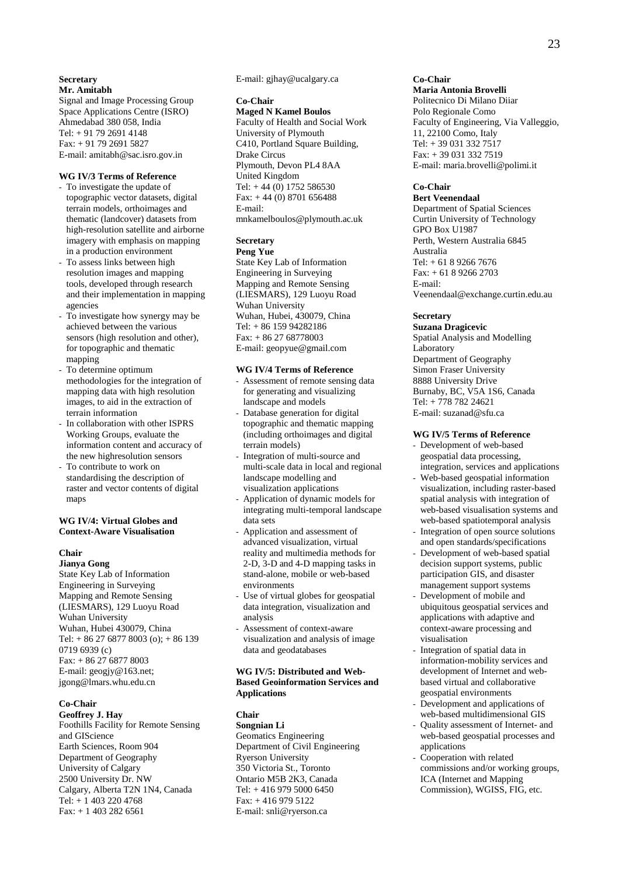## **Secretary Mr. Amitabh**

Signal and Image Processing Group Space Applications Centre (ISRO) Ahmedabad 380 058, India Tel: + 91 79 2691 4148 Fax: + 91 79 2691 5827 E-mail: amitabh@sac.isro.gov.in

## **WG IV/3 Terms of Reference**

- To investigate the update of topographic vector datasets, digital terrain models, orthoimages and thematic (landcover) datasets from high-resolution satellite and airborne imagery with emphasis on mapping in a production environment
- To assess links between high resolution images and mapping tools, developed through research and their implementation in mapping agencies
- To investigate how synergy may be achieved between the various sensors (high resolution and other), for topographic and thematic mapping
- To determine optimum methodologies for the integration of mapping data with high resolution images, to aid in the extraction of terrain information
- In collaboration with other ISPRS Working Groups, evaluate the information content and accuracy of the new highresolution sensors
- To contribute to work on standardising the description of raster and vector contents of digital maps

## **WG IV/4: Virtual Globes and Context-Aware Visualisation**

## **Chair**

**Jianya Gong**  State Key Lab of Information Engineering in Surveying Mapping and Remote Sensing (LIESMARS), 129 Luoyu Road Wuhan University Wuhan, Hubei 430079, China Tel:  $+86\,27\,6877\,8003\,(o); +86\,139$ 0719 6939 (c) Fax: + 86 27 6877 8003 E-mail: geogjy@163.net; jgong@lmars.whu.edu.cn

#### **Co-Chair**

**Geoffrey J. Hay**  Foothills Facility for Remote Sensing and GIScience Earth Sciences, Room 904 Department of Geography University of Calgary 2500 University Dr. NW Calgary, Alberta T2N 1N4, Canada Tel: + 1 403 220 4768 Fax: + 1 403 282 6561

E-mail: gjhay@ucalgary.ca

## **Co-Chair**

**Maged N Kamel Boulos**  Faculty of Health and Social Work University of Plymouth C410, Portland Square Building, Drake Circus Plymouth, Devon PL4 8AA United Kingdom Tel:  $+44(0)$  1752 586530 Fax: + 44 (0) 8701 656488 E-mail: mnkamelboulos@plymouth.ac.uk

#### **Secretary Peng Yue**

State Key Lab of Information Engineering in Surveying Mapping and Remote Sensing (LIESMARS), 129 Luoyu Road Wuhan University Wuhan, Hubei, 430079, China Tel: + 86 159 94282186 Fax: + 86 27 68778003 E-mail: geopyue@gmail.com

## **WG IV/4 Terms of Reference**

- Assessment of remote sensing data for generating and visualizing landscape and models
- Database generation for digital topographic and thematic mapping (including orthoimages and digital terrain models)
- Integration of multi-source and multi-scale data in local and regional landscape modelling and visualization applications
- Application of dynamic models for integrating multi-temporal landscape data sets
- Application and assessment of advanced visualization, virtual reality and multimedia methods for 2-D, 3-D and 4-D mapping tasks in stand-alone, mobile or web-based environments
- Use of virtual globes for geospatial data integration, visualization and analysis
- Assessment of context-aware visualization and analysis of image data and geodatabases

## **WG IV/5: Distributed and Web-Based Geoinformation Services and Applications**

#### **Chair**

**Songnian Li**  Geomatics Engineering Department of Civil Engineering Ryerson University 350 Victoria St., Toronto Ontario M5B 2K3, Canada Tel: + 416 979 5000 6450 Fax: + 416 979 5122 E-mail: snli@ryerson.ca

## **Co-Chair**

**Maria Antonia Brovelli**  Politecnico Di Milano Diiar Polo Regionale Como Faculty of Engineering, Via Valleggio, 11, 22100 Como, Italy Tel: + 39 031 332 7517

Fax: + 39 031 332 7519 E-mail: maria.brovelli@polimi.it

## **Co-Chair**

**Bert Veenendaal**  Department of Spatial Sciences Curtin University of Technology GPO Box U1987 Perth, Western Australia 6845 Australia Tel: + 61 8 9266 7676 Fax: + 61 8 9266 2703 E-mail: Veenendaal@exchange.curtin.edu.au

## **Secretary**

**Suzana Dragicevic**  Spatial Analysis and Modelling Laboratory Department of Geography Simon Fraser University 8888 University Drive Burnaby, BC, V5A 1S6, Canada Tel: + 778 782 24621 E-mail: suzanad@sfu.ca

## **WG IV/5 Terms of Reference**

- Development of web-based geospatial data processing, integration, services and applications
- Web-based geospatial information visualization, including raster-based spatial analysis with integration of web-based visualisation systems and web-based spatiotemporal analysis
- Integration of open source solutions and open standards/specifications
- Development of web-based spatial decision support systems, public participation GIS, and disaster management support systems
- Development of mobile and ubiquitous geospatial services and applications with adaptive and context-aware processing and visualisation
- Integration of spatial data in information-mobility services and development of Internet and webbased virtual and collaborative geospatial environments
- Development and applications of web-based multidimensional GIS
- Quality assessment of Internet- and web-based geospatial processes and applications
- Cooperation with related commissions and/or working groups, ICA (Internet and Mapping Commission), WGISS, FIG, etc.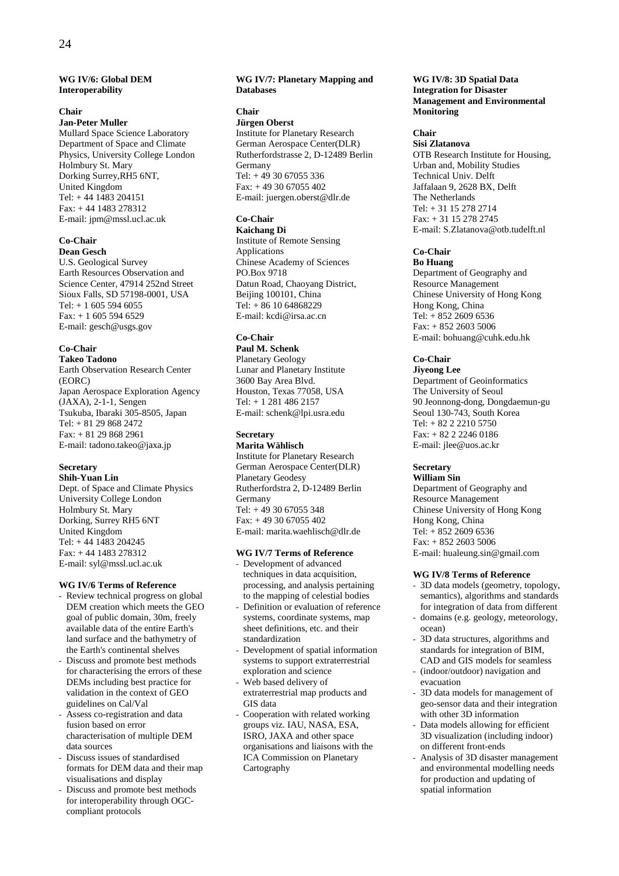## **WG IV/6: Global DEM Interoperability**

## **Chair**

**Jan-Peter Muller** 

Mullard Space Science Laboratory Department of Space and Climate Physics, University College London Holmbury St. Mary Dorking Surrey,RH5 6NT, United Kingdom Tel: + 44 1483 204151 Fax: + 44 1483 278312 E-mail: jpm@mssl.ucl.ac.uk

## **Co-Chair**

**Dean Gesch**  U.S. Geological Survey Earth Resources Observation and Science Center, 47914 252nd Street Sioux Falls, SD 57198-0001, USA Tel:  $+ 160555946055$  $Fax: + 160555946529$ E-mail: gesch@usgs.gov

## **Co-Chair**

**Takeo Tadono**  Earth Observation Research Center (EORC) Japan Aerospace Exploration Agency (JAXA), 2-1-1, Sengen Tsukuba, Ibaraki 305-8505, Japan Tel: + 81 29 868 2472 Fax: + 81 29 868 2961 E-mail: tadono.takeo@jaxa.jp

## **Secretary**

**Shih-Yuan Lin**  Dept. of Space and Climate Physics University College London Holmbury St. Mary Dorking, Surrey RH5 6NT United Kingdom Tel: + 44 1483 204245 Fax: + 44 1483 278312 E-mail: syl@mssl.ucl.ac.uk

## **WG IV/6 Terms of Reference**

- Review technical progress on global DEM creation which meets the GEO goal of public domain, 30m, freely available data of the entire Earth's land surface and the bathymetry of the Earth's continental shelves
- Discuss and promote best methods for characterising the errors of these DEMs including best practice for validation in the context of GEO guidelines on Cal/Val
- Assess co-registration and data fusion based on error characterisation of multiple DEM data sources
- Discuss issues of standardised formats for DEM data and their map visualisations and display
- Discuss and promote best methods for interoperability through OGCcompliant protocols

## **WG IV/7: Planetary Mapping and Databases**

## **Chair**

**Jürgen Oberst**  Institute for Planetary Research German Aerospace Center(DLR) Rutherfordstrasse 2, D-12489 Berlin Germany Tel: + 49 30 67055 336 Fax: + 49 30 67055 402 E-mail: juergen.oberst@dlr.de

## **Co-Chair**

**Kaichang Di**  Institute of Remote Sensing Applications Chinese Academy of Sciences PO.Box 9718 Datun Road, Chaoyang District, Beijing 100101, China  $Tel: + 86 10 64868229$ E-mail: kcdi@irsa.ac.cn

## **Co-Chair**

**Paul M. Schenk**  Planetary Geology Lunar and Planetary Institute 3600 Bay Area Blvd. Houston, Texas 77058, USA Tel: + 1 281 486 2157 E-mail: schenk@lpi.usra.edu

## **Secretary**

**Marita Wählisch**  Institute for Planetary Research German Aerospace Center(DLR) Planetary Geodesy Rutherfordstra 2, D-12489 Berlin Germany Tel: + 49 30 67055 348 Fax: + 49 30 67055 402 E-mail: marita.waehlisch@dlr.de

## **WG IV/7 Terms of Reference**

- Development of advanced techniques in data acquisition, processing, and analysis pertaining to the mapping of celestial bodies

- Definition or evaluation of reference systems, coordinate systems, map sheet definitions, etc. and their standardization
- Development of spatial information systems to support extraterrestrial exploration and science
- Web based delivery of extraterrestrial map products and GIS data
- Cooperation with related working groups viz. IAU, NASA, ESA, ISRO, JAXA and other space organisations and liaisons with the ICA Commission on Planetary Cartography

## **WG IV/8: 3D Spatial Data Integration for Disaster Management and Environmental Monitoring**

## **Chair**

**Sisi Zlatanova**  OTB Research Institute for Housing, Urban and, Mobility Studies Technical Univ. Delft Jaffalaan 9, 2628 BX, Delft The Netherlands Tel: + 31 15 278 2714 Fax: + 31 15 278 2745 E-mail: S.Zlatanova@otb.tudelft.nl

## **Co-Chair**

**Bo Huang**  Department of Geography and Resource Management Chinese University of Hong Kong Hong Kong, China Tel:  $+ 85226096536$ Fax: + 852 2603 5006 E-mail: bohuang@cuhk.edu.hk

## **Co-Chair**

**Jiyeong Lee**  Department of Geoinformatics The University of Seoul 90 Jeonnong-dong, Dongdaemun-gu Seoul 130-743, South Korea Tel: + 82 2 2210 5750 Fax: + 82 2 2246 0186 E-mail: jlee@uos.ac.kr

## **Secretary**

**William Sin**  Department of Geography and Resource Management Chinese University of Hong Kong Hong Kong, China Tel: + 852 2609 6536 Fax: + 852 2603 5006 E-mail: hualeung.sin@gmail.com

## **WG IV/8 Terms of Reference**

- 3D data models (geometry, topology, semantics), algorithms and standards for integration of data from different
- domains (e.g. geology, meteorology, ocean)
- 3D data structures, algorithms and standards for integration of BIM, CAD and GIS models for seamless
- (indoor/outdoor) navigation and evacuation
- 3D data models for management of geo-sensor data and their integration with other 3D information
- Data models allowing for efficient 3D visualization (including indoor) on different front-ends
- Analysis of 3D disaster management and environmental modelling needs for production and updating of spatial information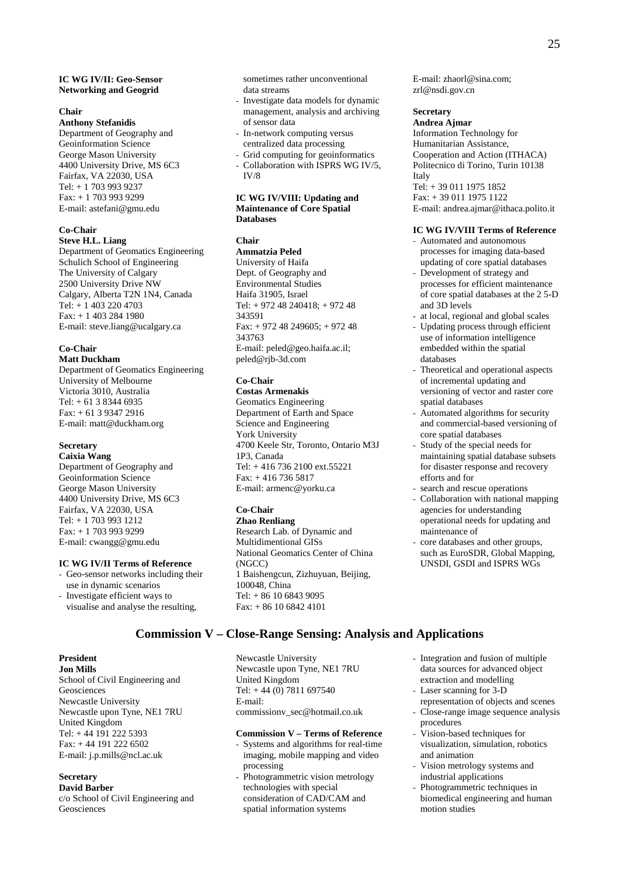### **IC WG IV/II: Geo-Sensor Networking and Geogrid**

#### **Chair**

**Anthony Stefanidis**  Department of Geography and Geoinformation Science George Mason University 4400 University Drive, MS 6C3 Fairfax, VA 22030, USA Tel: + 1 703 993 9237  $Fax + 17039939299$ E-mail: astefani@gmu.edu

## **Co-Chair**

**Steve H.L. Liang** 

Department of Geomatics Engineering Schulich School of Engineering The University of Calgary 2500 University Drive NW Calgary, Alberta T2N 1N4, Canada Tel: + 1 403 220 4703 Fax: + 1 403 284 1980 E-mail: steve.liang@ucalgary.ca

## **Co-Chair**

**Matt Duckham**  Department of Geomatics Engineering University of Melbourne Victoria 3010, Australia Tel: + 61 3 8344 6935 Fax: + 61 3 9347 2916 E-mail: matt@duckham.org

## **Secretary**

**Caixia Wang**  Department of Geography and Geoinformation Science George Mason University 4400 University Drive, MS 6C3 Fairfax, VA 22030, USA Tel: + 1 703 993 1212 Fax: + 1 703 993 9299 E-mail: cwangg@gmu.edu

## **IC WG IV/II Terms of Reference**

- Geo-sensor networks including their use in dynamic scenarios
- Investigate efficient ways to visualise and analyse the resulting,

## **President**

**Jon Mills**  School of Civil Engineering and Geosciences Newcastle University Newcastle upon Tyne, NE1 7RU United Kingdom Tel: + 44 191 222 5393 Fax: + 44 191 222 6502 E-mail: j.p.mills@ncl.ac.uk

## **Secretary**

**David Barber**  c/o School of Civil Engineering and Geosciences

sometimes rather unconventional data streams

- Investigate data models for dynamic management, analysis and archiving of sensor data
- In-network computing versus centralized data processing
- Grid computing for geoinformatics - Collaboration with ISPRS WG IV/5, IV/8

#### **IC WG IV/VIII: Updating and Maintenance of Core Spatial Databases**

## **Chair**

**Ammatzia Peled**  University of Haifa Dept. of Geography and Environmental Studies Haifa 31905, Israel Tel: + 972 48 240418; + 972 48 343591 Fax: + 972 48 249605; + 972 48 343763 E-mail: peled@geo.haifa.ac.il; peled@rjb-3d.com

## **Co-Chair**

**Costas Armenakis**  Geomatics Engineering Department of Earth and Space Science and Engineering York University 4700 Keele Str, Toronto, Ontario M3J 1P3, Canada Tel: + 416 736 2100 ext.55221 Fax: + 416 736 5817 E-mail: armenc@yorku.ca

## **Co-Chair**

**Zhao Renliang**  Research Lab. of Dynamic and Multidimentional GISs National Geomatics Center of China (NGCC) 1 Baishengcun, Zizhuyuan, Beijing, 100048, China Tel: + 86 10 6843 9095 Fax: + 86 10 6842 4101

E-mail: zhaorl@sina.com; zrl@nsdi.gov.cn

## **Secretary**

**Andrea Ajmar**  Information Technology for Humanitarian Assistance, Cooperation and Action (ITHACA) Politecnico di Torino, Turin 10138 Italy Tel: + 39 011 1975 1852 Fax: + 39 011 1975 1122 E-mail: andrea.ajmar@ithaca.polito.it

## **IC WG IV/VIII Terms of Reference**

- Automated and autonomous processes for imaging data-based updating of core spatial databases - Development of strategy and
- processes for efficient maintenance of core spatial databases at the 2 5-D and 3D levels
- at local, regional and global scales
- Updating process through efficient use of information intelligence embedded within the spatial databases
- Theoretical and operational aspects of incremental updating and versioning of vector and raster core spatial databases
- Automated algorithms for security and commercial-based versioning of core spatial databases
- Study of the special needs for maintaining spatial database subsets for disaster response and recovery efforts and for
- search and rescue operations
- Collaboration with national mapping agencies for understanding operational needs for updating and maintenance of
- core databases and other groups, such as EuroSDR, Global Mapping, UNSDI, GSDI and ISPRS WGs

## **Commission V – Close-Range Sensing: Analysis and Applications**

Newcastle University Newcastle upon Tyne, NE1 7RU United Kingdom Tel:  $+44(0)$  7811 697540 E-mail: commissionv\_sec@hotmail.co.uk

## **Commission V – Terms of Reference**

- Systems and algorithms for real-time imaging, mobile mapping and video processing
- Photogrammetric vision metrology technologies with special consideration of CAD/CAM and spatial information systems
- Integration and fusion of multiple data sources for advanced object extraction and modelling
- Laser scanning for 3-D representation of objects and scenes
- Close-range image sequence analysis procedures
- Vision-based techniques for visualization, simulation, robotics and animation
- Vision metrology systems and industrial applications
- Photogrammetric techniques in biomedical engineering and human motion studies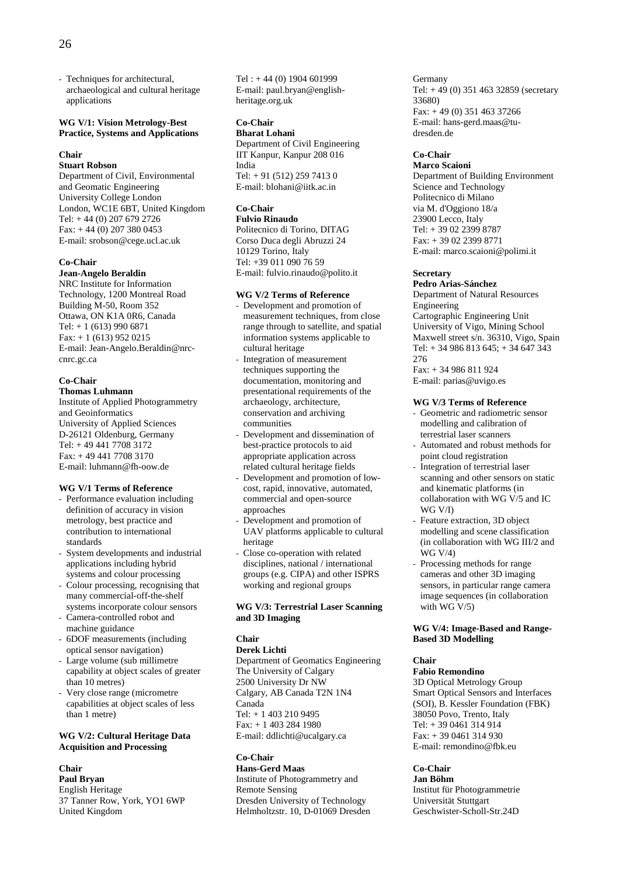- Techniques for architectural, archaeological and cultural heritage applications

## **WG V/1: Vision Metrology-Best Practice, Systems and Applications**

#### **Chair**

## **Stuart Robson**

Department of Civil, Environmental and Geomatic Engineering University College London London, WC1E 6BT, United Kingdom Tel: + 44 (0) 207 679 2726 Fax:  $+ 44 (0) 207 380 0453$ E-mail: srobson@cege.ucl.ac.uk

#### **Co-Chair**

## **Jean-Angelo Beraldin**

NRC Institute for Information Technology, 1200 Montreal Road Building M-50, Room 352 Ottawa, ON K1A 0R6, Canada Tel: + 1 (613) 990 6871 Fax: + 1 (613) 952 0215 E-mail: Jean-Angelo.Beraldin@nrccnrc.gc.ca

#### **Co-Chair Thomas Luhmann**

Institute of Applied Photogrammetry and Geoinformatics University of Applied Sciences D-26121 Oldenburg, Germany Tel: + 49 441 7708 3172 Fax: + 49 441 7708 3170 E-mail: luhmann@fh-oow.de

## **WG V/1 Terms of Reference**

- Performance evaluation including definition of accuracy in vision metrology, best practice and contribution to international standards
- System developments and industrial applications including hybrid systems and colour processing
- Colour processing, recognising that many commercial-off-the-shelf systems incorporate colour sensors
- Camera-controlled robot and machine guidance
- 6DOF measurements (including optical sensor navigation)
- Large volume (sub millimetre capability at object scales of greater than 10 metres)
- Very close range (micrometre capabilities at object scales of less than 1 metre)

#### **WG V/2: Cultural Heritage Data Acquisition and Processing**

#### **Chair**

**Paul Bryan**  English Heritage 37 Tanner Row, York, YO1 6WP United Kingdom

 $Tel : +44(0) 1904601999$ E-mail: paul.bryan@englishheritage.org.uk

#### **Co-Chair Bharat Lohani**

Department of Civil Engineering IIT Kanpur, Kanpur 208 016 India Tel: + 91 (512) 259 7413 0 E-mail: blohani@iitk.ac.in

## **Co-Chair**

## **Fulvio Rinaudo**

Politecnico di Torino, DITAG Corso Duca degli Abruzzi 24 10129 Torino, Italy Tel: +39 011 090 76 59 E-mail: fulvio.rinaudo@polito.it

## **WG V/2 Terms of Reference**

- Development and promotion of measurement techniques, from close range through to satellite, and spatial information systems applicable to cultural heritage
- Integration of measurement techniques supporting the documentation, monitoring and presentational requirements of the archaeology, architecture, conservation and archiving communities
- Development and dissemination of best-practice protocols to aid appropriate application across related cultural heritage fields
- Development and promotion of lowcost, rapid, innovative, automated, commercial and open-source approaches
- Development and promotion of UAV platforms applicable to cultural heritage
- Close co-operation with related disciplines, national / international groups (e.g. CIPA) and other ISPRS working and regional groups

## **WG V/3: Terrestrial Laser Scanning and 3D Imaging**

#### **Chair**

## **Derek Lichti**

Department of Geomatics Engineering The University of Calgary 2500 University Dr NW Calgary, AB Canada T2N 1N4 Canada Tel: + 1 403 210 9495 Fax: + 1 403 284 1980 E-mail: ddlichti@ucalgary.ca

## **Co-Chair**

## **Hans-Gerd Maas**

Institute of Photogrammetry and Remote Sensing Dresden University of Technology Helmholtzstr. 10, D-01069 Dresden Germany Tel: + 49 (0) 351 463 32859 (secretary 33680)  $Fax: +49(0)$  351 463 37266 E-mail: hans-gerd.maas@tudresden.de

## **Co-Chair**

**Marco Scaioni**  Department of Building Environment Science and Technology Politecnico di Milano via M. d'Oggiono 18/a 23900 Lecco, Italy Tel: + 39 02 2399 8787 Fax: + 39 02 2399 8771 E-mail: marco.scaioni@polimi.it

#### **Secretary**

## **Pedro Arias-Sánchez**

Department of Natural Resources Engineering Cartographic Engineering Unit University of Vigo, Mining School Maxwell street s/n. 36310, Vigo, Spain Tel: + 34 986 813 645; + 34 647 343 276 Fax: + 34 986 811 924 E-mail: parias@uvigo.es

#### **WG V/3 Terms of Reference**

- Geometric and radiometric sensor modelling and calibration of terrestrial laser scanners
- Automated and robust methods for point cloud registration
- Integration of terrestrial laser scanning and other sensors on static and kinematic platforms (in collaboration with WG V/5 and IC WG V/I)
- Feature extraction, 3D object modelling and scene classification (in collaboration with WG III/2 and WG V/4)
- Processing methods for range cameras and other 3D imaging sensors, in particular range camera image sequences (in collaboration with WG V/5)

#### **WG V/4: Image-Based and Range-Based 3D Modelling**

## **Chair**

**Fabio Remondino**  3D Optical Metrology Group Smart Optical Sensors and Interfaces (SOI), B. Kessler Foundation (FBK) 38050 Povo, Trento, Italy Tel: + 39 0461 314 914 Fax: + 39 0461 314 930 E-mail: remondino@fbk.eu

## **Co-Chair**

**Jan Böhm**  Institut für Photogrammetrie Universität Stuttgart Geschwister-Scholl-Str.24D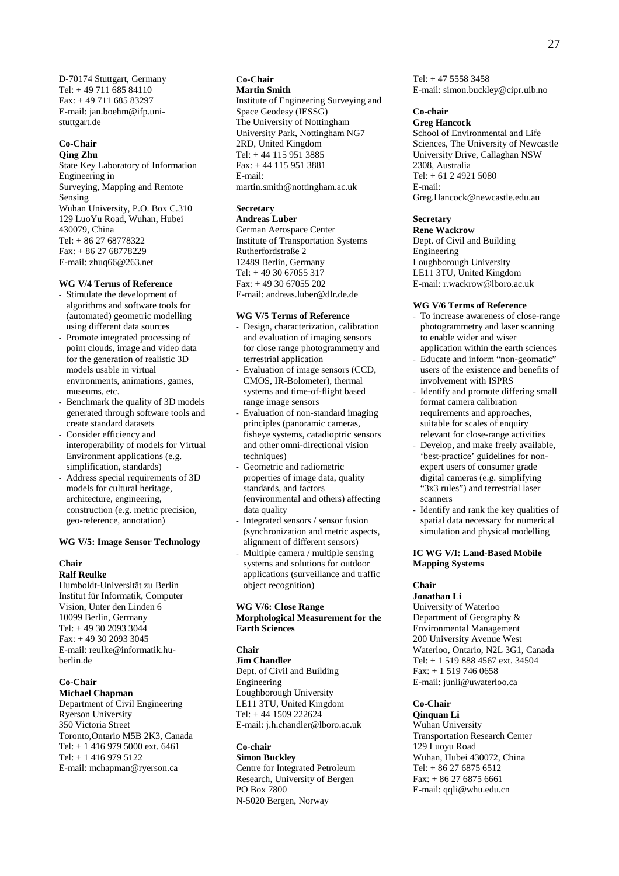D-70174 Stuttgart, Germany Tel: + 49 711 685 84110 Fax: + 49 711 685 83297 E-mail: jan.boehm@ifp.unistuttgart.de

## **Co-Chair**

**Qing Zhu**  State Key Laboratory of Information Engineering in Surveying, Mapping and Remote Sensing Wuhan University, P.O. Box C.310 129 LuoYu Road, Wuhan, Hubei 430079, China Tel: + 86 27 68778322 Fax: + 86 27 68778229 E-mail: zhuq66@263.net

#### **WG V/4 Terms of Reference**

- Stimulate the development of algorithms and software tools for (automated) geometric modelling using different data sources
- Promote integrated processing of point clouds, image and video data for the generation of realistic 3D models usable in virtual environments, animations, games, museums, etc.
- Benchmark the quality of 3D models generated through software tools and create standard datasets
- Consider efficiency and interoperability of models for Virtual Environment applications (e.g. simplification, standards)
- Address special requirements of 3D models for cultural heritage, architecture, engineering, construction (e.g. metric precision, geo-reference, annotation)

## **WG V/5: Image Sensor Technology**

#### **Chair Ralf Reulke**

Humboldt-Universität zu Berlin Institut für Informatik, Computer Vision, Unter den Linden 6 10099 Berlin, Germany Tel: + 49 30 2093 3044 Fax: + 49 30 2093 3045 E-mail: reulke@informatik.huberlin.de

#### **Co-Chair Michael Chapman**

Department of Civil Engineering Ryerson University 350 Victoria Street Toronto,Ontario M5B 2K3, Canada Tel: + 1 416 979 5000 ext. 6461 Tel: + 1 416 979 5122 E-mail: mchapman@ryerson.ca

#### **Co-Chair Martin Smith**

Institute of Engineering Surveying and Space Geodesy (IESSG) The University of Nottingham University Park, Nottingham NG7 2RD, United Kingdom Tel: + 44 115 951 3885 Fax: + 44 115 951 3881 E-mail: martin.smith@nottingham.ac.uk

## **Secretary**

**Andreas Luber** 

German Aerospace Center Institute of Transportation Systems Rutherfordstraße 2 12489 Berlin, Germany Tel: + 49 30 67055 317 Fax: + 49 30 67055 202 E-mail: andreas.luber@dlr.de.de

## **WG V/5 Terms of Reference**

- Design, characterization, calibration and evaluation of imaging sensors for close range photogrammetry and terrestrial application
- Evaluation of image sensors (CCD, CMOS, IR-Bolometer), thermal systems and time-of-flight based range image sensors
- Evaluation of non-standard imaging principles (panoramic cameras, fisheye systems, catadioptric sensors and other omni-directional vision techniques)
- Geometric and radiometric properties of image data, quality standards, and factors (environmental and others) affecting data quality
- Integrated sensors / sensor fusion (synchronization and metric aspects, alignment of different sensors)
- Multiple camera / multiple sensing systems and solutions for outdoor applications (surveillance and traffic object recognition)

## **WG V/6: Close Range Morphological Measurement for the Earth Sciences**

## **Chair**

**Jim Chandler**  Dept. of Civil and Building Engineering Loughborough University LE11 3TU, United Kingdom Tel: + 44 1509 222624 E-mail: j.h.chandler@lboro.ac.uk

## **Co-chair**

**Simon Buckley**  Centre for Integrated Petroleum Research, University of Bergen PO Box 7800 N-5020 Bergen, Norway

 $Tel: +47 5558 3458$ E-mail: simon.buckley@cipr.uib.no

## **Co-chair**

**Greg Hancock**  School of Environmental and Life Sciences, The University of Newcastle University Drive, Callaghan NSW 2308, Australia Tel: + 61 2 4921 5080 E-mail: Greg.Hancock@newcastle.edu.au

## **Secretary**

**Rene Wackrow**  Dept. of Civil and Building Engineering Loughborough University LE11 3TU, United Kingdom E-mail: r.wackrow@lboro.ac.uk

#### **WG V/6 Terms of Reference**

- To increase awareness of close-range photogrammetry and laser scanning to enable wider and wiser application within the earth sciences
- Educate and inform "non-geomatic" users of the existence and benefits of involvement with ISPRS
- Identify and promote differing small format camera calibration requirements and approaches, suitable for scales of enquiry relevant for close-range activities
- Develop, and make freely available, 'best-practice' guidelines for nonexpert users of consumer grade digital cameras (e.g. simplifying "3x3 rules") and terrestrial laser scanners
- Identify and rank the key qualities of spatial data necessary for numerical simulation and physical modelling

## **IC WG V/I: Land-Based Mobile Mapping Systems**

## **Chair**

**Jonathan Li**  University of Waterloo Department of Geography & Environmental Management 200 University Avenue West Waterloo, Ontario, N2L 3G1, Canada Tel: + 1 519 888 4567 ext. 34504 Fax: + 1 519 746 0658 E-mail: junli@uwaterloo.ca

## **Co-Chair**

**Qinquan Li**  Wuhan University Transportation Research Center 129 Luoyu Road Wuhan, Hubei 430072, China Tel: + 86 27 6875 6512 Fax: + 86 27 6875 6661 E-mail: qqli@whu.edu.cn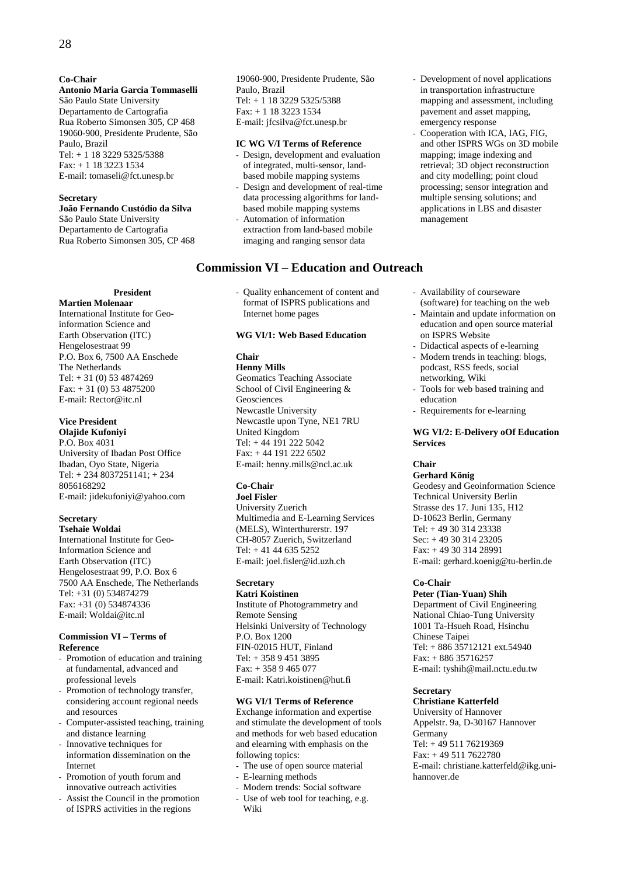## **Co-Chair**

## **Antonio Maria Garcia Tommaselli**

São Paulo State University Departamento de Cartografia Rua Roberto Simonsen 305, CP 468 19060-900, Presidente Prudente, São Paulo, Brazil Tel: + 1 18 3229 5325/5388 Fax: + 1 18 3223 1534 E-mail: tomaseli@fct.unesp.br

## **Secretary**

**João Fernando Custódio da Silva**  São Paulo State University Departamento de Cartografia Rua Roberto Simonsen 305, CP 468

**President** 

**Martien Molenaar**  International Institute for Geoinformation Science and Earth Observation (ITC) Hengelosestraat 99 P.O. Box 6, 7500 AA Enschede The Netherlands Tel:  $+31(0)$  53 4874269  $Fax: + 31(0) 53 4875200$ E-mail: Rector@itc.nl

## **Vice President**

**Olajide Kufoniyi**  P.O. Box 4031 University of Ibadan Post Office Ibadan, Oyo State, Nigeria Tel: + 234 8037251141; + 234 8056168292 E-mail: jidekufoniyi@yahoo.com

#### **Secretary Tsehaie Woldai**

International Institute for Geo-Information Science and Earth Observation (ITC) Hengelosestraat 99, P.O. Box 6 7500 AA Enschede, The Netherlands Tel: +31 (0) 534874279 Fax: +31 (0) 534874336 E-mail: Woldai@itc.nl

## **Commission VI – Terms of Reference**

- Promotion of education and training at fundamental, advanced and professional levels
- Promotion of technology transfer, considering account regional needs and resources
- Computer-assisted teaching, training and distance learning
- Innovative techniques for information dissemination on the Internet
- Promotion of youth forum and innovative outreach activities
- Assist the Council in the promotion of ISPRS activities in the regions

19060-900, Presidente Prudente, São Paulo, Brazil Tel: + 1 18 3229 5325/5388 Fax: + 1 18 3223 1534 E-mail: jfcsilva@fct.unesp.br

## **IC WG V/I Terms of Reference**

- Design, development and evaluation of integrated, multi-sensor, landbased mobile mapping systems
- Design and development of real-time data processing algorithms for landbased mobile mapping systems - Automation of information
- extraction from land-based mobile imaging and ranging sensor data

## **Commission VI – Education and Outreach**

- Quality enhancement of content and format of ISPRS publications and Internet home pages

## **WG VI/1: Web Based Education**

## **Chair**

## **Henny Mills**

Geomatics Teaching Associate School of Civil Engineering & Geosciences Newcastle University Newcastle upon Tyne, NE1 7RU United Kingdom Tel: + 44 191 222 5042  $Fax: +44$  191 222 6502 E-mail: henny.mills@ncl.ac.uk

## **Co-Chair**

## **Joel Fisler**

University Zuerich Multimedia and E-Learning Services (MELS), Winterthurerstr. 197 CH-8057 Zuerich, Switzerland Tel: + 41 44 635 5252 E-mail: joel.fisler@id.uzh.ch

## **Secretary**

**Katri Koistinen**  Institute of Photogrammetry and Remote Sensing Helsinki University of Technology P.O. Box 1200 FIN-02015 HUT, Finland Tel: + 358 9 451 3895 Fax: + 358 9 465 077 E-mail: Katri.koistinen@hut.fi

#### **WG VI/1 Terms of Reference**

Exchange information and expertise and stimulate the development of tools and methods for web based education and elearning with emphasis on the following topics:

- The use of open source material
- E-learning methods
- Modern trends: Social software - Use of web tool for teaching, e.g. Wiki
- Development of novel applications in transportation infrastructure mapping and assessment, including pavement and asset mapping, emergency response
- Cooperation with ICA, IAG, FIG. and other ISPRS WGs on 3D mobile mapping; image indexing and retrieval; 3D object reconstruction and city modelling; point cloud processing; sensor integration and multiple sensing solutions; and applications in LBS and disaster management
- Availability of courseware (software) for teaching on the web
- Maintain and update information on education and open source material on ISPRS Website
- Didactical aspects of e-learning
- Modern trends in teaching: blogs, podcast, RSS feeds, social networking, Wiki
- Tools for web based training and education
- Requirements for e-learning

## **WG VI/2: E-Delivery oOf Education Services**

#### **Chair**

## **Gerhard König**

Geodesy and Geoinformation Science Technical University Berlin Strasse des 17. Juni 135, H12 D-10623 Berlin, Germany Tel: + 49 30 314 23338 Sec: + 49 30 314 23205 Fax: + 49 30 314 28991 E-mail: gerhard.koenig@tu-berlin.de

#### **Co-Chair**

**Peter (Tian-Yuan) Shih**  Department of Civil Engineering National Chiao-Tung University 1001 Ta-Hsueh Road, Hsinchu Chinese Taipei Tel: + 886 35712121 ext.54940 Fax: + 886 35716257 E-mail: tyshih@mail.nctu.edu.tw

## **Secretary**

**Christiane Katterfeld**  University of Hannover Appelstr. 9a, D-30167 Hannover Germany Tel: + 49 511 76219369 Fax: + 49 511 7622780 E-mail: christiane.katterfeld@ikg.unihannover.de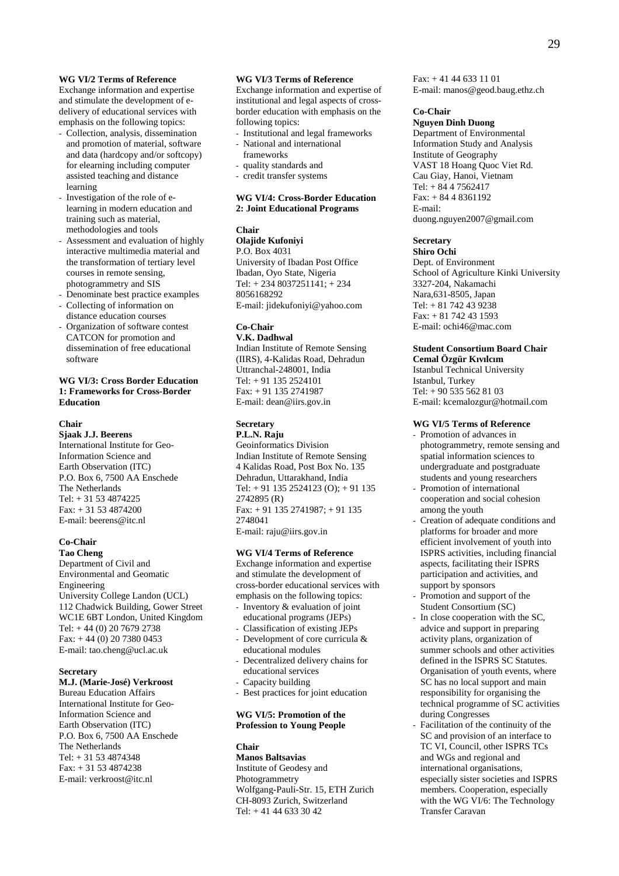## **WG VI/2 Terms of Reference**

Exchange information and expertise and stimulate the development of edelivery of educational services with emphasis on the following topics:

- Collection, analysis, dissemination and promotion of material, software and data (hardcopy and/or softcopy) for elearning including computer assisted teaching and distance learning
- Investigation of the role of elearning in modern education and training such as material, methodologies and tools
- Assessment and evaluation of highly interactive multimedia material and the transformation of tertiary level courses in remote sensing, photogrammetry and SIS
- Denominate best practice examples
- Collecting of information on distance education courses
- Organization of software contest CATCON for promotion and dissemination of free educational software

## **WG VI/3: Cross Border Education 1: Frameworks for Cross-Border Education**

#### **Chair**

**Sjaak J.J. Beerens**  International Institute for Geo-Information Science and Earth Observation (ITC) P.O. Box 6, 7500 AA Enschede The Netherlands Tel: + 31 53 4874225 Fax: + 31 53 4874200 E-mail: beerens@itc.nl

## **Co-Chair**

**Tao Cheng**  Department of Civil and Environmental and Geomatic Engineering University College Landon (UCL) 112 Chadwick Building, Gower Street WC1E 6BT London, United Kingdom Tel: + 44 (0) 20 7679 2738 Fax: + 44 (0) 20 7380 0453 E-mail: tao.cheng@ucl.ac.uk

### **Secretary**

## **M.J. (Marie-José) Verkroost**

Bureau Education Affairs International Institute for Geo-Information Science and Earth Observation (ITC) P.O. Box 6, 7500 AA Enschede The Netherlands Tel: + 31 53 4874348 Fax: + 31 53 4874238 E-mail: verkroost@itc.nl

### **WG VI/3 Terms of Reference**

Exchange information and expertise of institutional and legal aspects of crossborder education with emphasis on the following topics:

- Institutional and legal frameworks
- National and international frameworks
- quality standards and - credit transfer systems
- 

#### **WG VI/4: Cross-Border Education 2: Joint Educational Programs**

#### **Chair**

**Olajide Kufoniyi**  P.O. Box 4031 University of Ibadan Post Office Ibadan, Oyo State, Nigeria Tel: + 234 8037251141; + 234 8056168292 E-mail: jidekufoniyi@yahoo.com

## **Co-Chair**

**V.K. Dadhwal**  Indian Institute of Remote Sensing (IIRS), 4-Kalidas Road, Dehradun Uttranchal-248001, India Tel: + 91 135 2524101 Fax: + 91 135 2741987 E-mail: dean@iirs.gov.in

#### **Secretary P.L.N. Raju**

Geoinformatics Division Indian Institute of Remote Sensing 4 Kalidas Road, Post Box No. 135 Dehradun, Uttarakhand, India Tel:  $+91$  135 2524123 (O);  $+91$  135 2742895 (R) Fax: + 91 135 2741987; + 91 135 2748041 E-mail: raju@iirs.gov.in

#### **WG VI/4 Terms of Reference**

Exchange information and expertise and stimulate the development of cross-border educational services with emphasis on the following topics:

- Inventory & evaluation of joint educational programs (JEPs)
- Classification of existing JEPs Development of core curricula &
- educational modules
- Decentralized delivery chains for educational services
- Capacity building
- Best practices for joint education

## **WG VI/5: Promotion of the Profession to Young People**

## **Chair**

**Manos Baltsavias**  Institute of Geodesy and Photogrammetry Wolfgang-Pauli-Str. 15, ETH Zurich CH-8093 Zurich, Switzerland Tel: + 41 44 633 30 42

Fax: + 41 44 633 11 01 E-mail: manos@geod.baug.ethz.ch

#### **Co-Chair**

**Nguyen Dinh Duong**  Department of Environmental Information Study and Analysis Institute of Geography VAST 18 Hoang Quoc Viet Rd. Cau Giay, Hanoi, Vietnam Tel: + 84 4 7562417  $Fax: + 8448361192$ E-mail: duong.nguyen2007@gmail.com

## **Secretary**

**Shiro Ochi**  Dept. of Environment School of Agriculture Kinki University 3327-204, Nakamachi Nara,631-8505, Japan Tel: + 81 742 43 9238 Fax: + 81 742 43 1593 E-mail: ochi46@mac.com

## **Student Consortium Board Chair**

**Cemal Özgür Kıvılcım**  Istanbul Technical University Istanbul, Turkey Tel: + 90 535 562 81 03 E-mail: kcemalozgur@hotmail.com

## **WG VI/5 Terms of Reference**

- Promotion of advances in photogrammetry, remote sensing and spatial information sciences to undergraduate and postgraduate students and young researchers
- Promotion of international cooperation and social cohesion among the youth
- Creation of adequate conditions and platforms for broader and more efficient involvement of youth into ISPRS activities, including financial aspects, facilitating their ISPRS participation and activities, and support by sponsors
- Promotion and support of the Student Consortium (SC)
- In close cooperation with the SC, advice and support in preparing activity plans, organization of summer schools and other activities defined in the ISPRS SC Statutes. Organisation of youth events, where SC has no local support and main responsibility for organising the technical programme of SC activities during Congresses
- Facilitation of the continuity of the SC and provision of an interface to TC VI, Council, other ISPRS TCs and WGs and regional and international organisations, especially sister societies and ISPRS members. Cooperation, especially with the WG VI/6: The Technology Transfer Caravan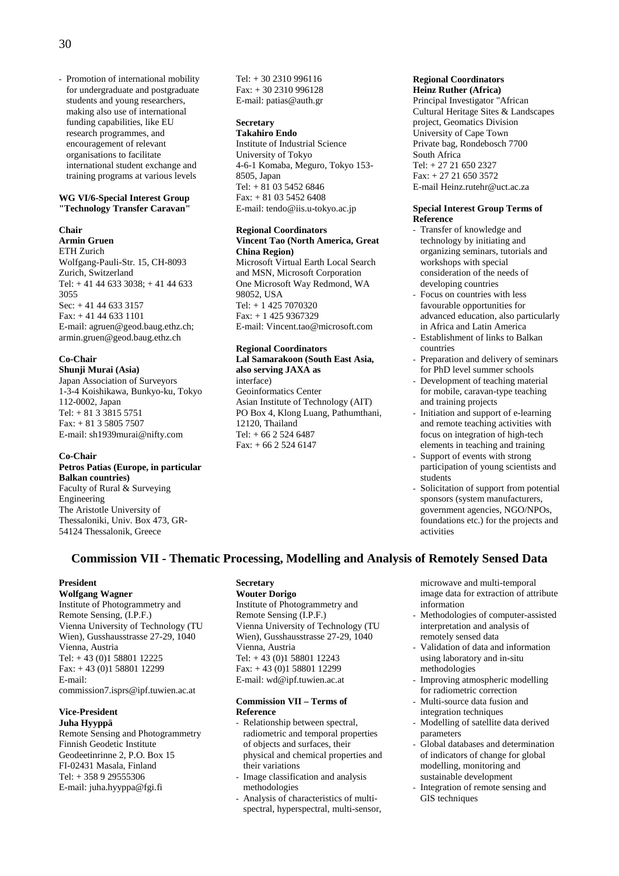- Promotion of international mobility for undergraduate and postgraduate students and young researchers, making also use of international funding capabilities, like EU research programmes, and encouragement of relevant organisations to facilitate international student exchange and training programs at various levels

#### **WG VI/6-Special Interest Group "Technology Transfer Caravan"**

#### **Chair**

**Armin Gruen** 

ETH Zurich Wolfgang-Pauli-Str. 15, CH-8093 Zurich, Switzerland Tel: + 41 44 633 3038; + 41 44 633 3055 Sec: + 41 44 633 3157 Fax: + 41 44 633 1101 E-mail: agruen@geod.baug.ethz.ch; armin.gruen@geod.baug.ethz.ch

## **Co-Chair**

**Shunji Murai (Asia)**  Japan Association of Surveyors 1-3-4 Koishikawa, Bunkyo-ku, Tokyo 112-0002, Japan Tel: + 81 3 3815 5751 Fax: + 81 3 5805 7507 E-mail: sh1939murai@nifty.com

#### **Co-Chair**

**Petros Patias (Europe, in particular Balkan countries)**  Faculty of Rural & Surveying Engineering The Aristotle University of Thessaloniki, Univ. Box 473, GR-54124 Thessalonik, Greece

Tel: + 30 2310 996116 Fax: + 30 2310 996128 E-mail: patias@auth.gr

#### **Secretary Takahiro Endo**

Institute of Industrial Science University of Tokyo 4-6-1 Komaba, Meguro, Tokyo 153- 8505, Japan Tel: + 81 03 5452 6846 Fax: + 81 03 5452 6408 E-mail: tendo@iis.u-tokyo.ac.jp

#### **Regional Coordinators Vincent Tao (North America, Great China Region)**

Microsoft Virtual Earth Local Search and MSN, Microsoft Corporation One Microsoft Way Redmond, WA 98052, USA Tel: + 1 425 7070320 Fax: + 1 425 9367329 E-mail: Vincent.tao@microsoft.com

#### **Regional Coordinators Lal Samarakoon (South East Asia, also serving JAXA as**

interface) Geoinformatics Center Asian Institute of Technology (AIT) PO Box 4, Klong Luang, Pathumthani, 12120, Thailand Tel: + 66 2 524 6487 Fax: + 66 2 524 6147

#### **Regional Coordinators Heinz Ruther (Africa)**

Principal Investigator "African Cultural Heritage Sites & Landscapes project, Geomatics Division University of Cape Town Private bag, Rondebosch 7700 South Africa Tel: + 27 21 650 2327 Fax: + 27 21 650 3572 E-mail Heinz.rutehr@uct.ac.za

#### **Special Interest Group Terms of Reference**

- Transfer of knowledge and technology by initiating and organizing seminars, tutorials and workshops with special consideration of the needs of developing countries
- Focus on countries with less favourable opportunities for advanced education, also particularly in Africa and Latin America
- Establishment of links to Balkan countries
- Preparation and delivery of seminars for PhD level summer schools
- Development of teaching material for mobile, caravan-type teaching and training projects
- Initiation and support of e-learning and remote teaching activities with focus on integration of high-tech elements in teaching and training Support of events with strong
- participation of young scientists and students
- Solicitation of support from potential sponsors (system manufacturers, government agencies, NGO/NPOs, foundations etc.) for the projects and activities

## **Commission VII - Thematic Processing, Modelling and Analysis of Remotely Sensed Data**

## **President**

**Wolfgang Wagner**  Institute of Photogrammetry and Remote Sensing, (I.P.F.) Vienna University of Technology (TU Wien), Gusshausstrasse 27-29, 1040 Vienna, Austria Tel: + 43 (0)1 58801 12225 Fax: + 43 (0)1 58801 12299 E-mail: commission7.isprs@ipf.tuwien.ac.at

## **Vice-President**

**Juha Hyyppä**  Remote Sensing and Photogrammetry Finnish Geodetic Institute Geodeetinrinne 2, P.O. Box 15 FI-02431 Masala, Finland Tel: + 358 9 29555306 E-mail: juha.hyyppa@fgi.fi

## **Secretary**

**Wouter Dorigo**  Institute of Photogrammetry and Remote Sensing (I.P.F.) Vienna University of Technology (TU Wien), Gusshausstrasse 27-29, 1040 Vienna, Austria Tel: + 43 (0)1 58801 12243 Fax: + 43 (0)1 58801 12299 E-mail: wd@ipf.tuwien.ac.at

## **Commission VII – Terms of Reference**

Relationship between spectral, radiometric and temporal properties of objects and surfaces, their physical and chemical properties and their variations

- Image classification and analysis methodologies
- Analysis of characteristics of multispectral, hyperspectral, multi-sensor,

microwave and multi-temporal image data for extraction of attribute information

- Methodologies of computer-assisted interpretation and analysis of remotely sensed data
- Validation of data and information using laboratory and in-situ methodologies
- Improving atmospheric modelling for radiometric correction
- Multi-source data fusion and integration techniques
- Modelling of satellite data derived parameters
- Global databases and determination of indicators of change for global modelling, monitoring and sustainable development
- Integration of remote sensing and GIS techniques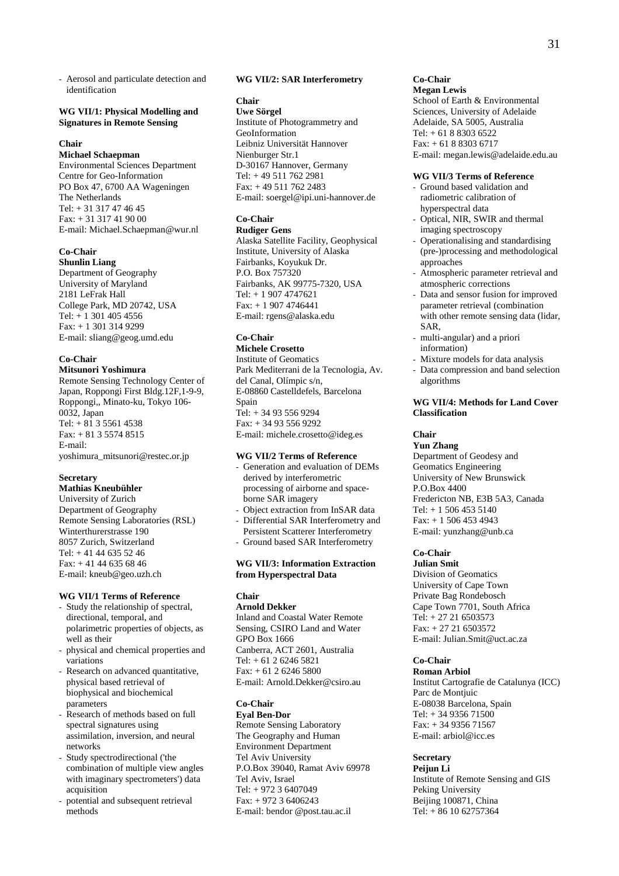- Aerosol and particulate detection and identification

## **WG VII/1: Physical Modelling and Signatures in Remote Sensing**

## **Chair**

**Michael Schaepman** 

Environmental Sciences Department Centre for Geo-Information PO Box 47, 6700 AA Wageningen The Netherlands Tel: + 31 317 47 46 45 Fax: + 31 317 41 90 00 E-mail: Michael.Schaepman@wur.nl

## **Co-Chair**

**Shunlin Liang**  Department of Geography University of Maryland 2181 LeFrak Hall College Park, MD 20742, USA Tel:  $+ 1,301,405,4556$ Fax: + 1 301 314 9299 E-mail: sliang@geog.umd.edu

## **Co-Chair**

**Mitsunori Yoshimura** 

Remote Sensing Technology Center of Japan, Roppongi First Bldg.12F,1-9-9, Roppongi,, Minato-ku, Tokyo 106- 0032, Japan Tel:  $+81355614538$ Fax: + 81 3 5574 8515 E-mail: yoshimura\_mitsunori@restec.or.jp

## **Secretary**

**Mathias Kneubühler**  University of Zurich Department of Geography Remote Sensing Laboratories (RSL) Winterthurerstrasse 190 8057 Zurich, Switzerland Tel: + 41 44 635 52 46 Fax: + 41 44 635 68 46 E-mail: kneub@geo.uzh.ch

## **WG VII/1 Terms of Reference**

- Study the relationship of spectral, directional, temporal, and polarimetric properties of objects, as well as their
- physical and chemical properties and variations
- Research on advanced quantitative, physical based retrieval of biophysical and biochemical parameters
- Research of methods based on full spectral signatures using assimilation, inversion, and neural networks
- Study spectrodirectional ('the combination of multiple view angles with imaginary spectrometers') data acquisition
- potential and subsequent retrieval methods

#### **WG VII/2: SAR Interferometry**

## **Chair**

**Uwe Sörgel**  Institute of Photogrammetry and GeoInformation Leibniz Universität Hannover Nienburger Str.1 D-30167 Hannover, Germany Tel: + 49 511 762 2981 Fax: + 49 511 762 2483 E-mail: soergel@ipi.uni-hannover.de

## **Co-Chair**

**Rudiger Gens**  Alaska Satellite Facility, Geophysical Institute, University of Alaska Fairbanks, Koyukuk Dr. P.O. Box 757320 Fairbanks, AK 99775-7320, USA Tel: + 1 907 4747621 Fax: + 1 907 4746441 E-mail: rgens@alaska.edu

## **Co-Chair**

**Michele Crosetto**  Institute of Geomatics Park Mediterrani de la Tecnologia, Av. del Canal, Olímpic s/n, E-08860 Castelldefels, Barcelona Spain  $Tel: + 34935569294$ Fax: + 34 93 556 9292 E-mail: michele.crosetto@ideg.es

## **WG VII/2 Terms of Reference**

- Generation and evaluation of DEMs derived by interferometric processing of airborne and spaceborne SAR imagery Object extraction from InSAR data
- Differential SAR Interferometry and Persistent Scatterer Interferometry
- Ground based SAR Interferometry

## **WG VII/3: Information Extraction from Hyperspectral Data**

## **Chair**

**Arnold Dekker**  Inland and Coastal Water Remote Sensing, CSIRO Land and Water GPO Box 1666

Canberra, ACT 2601, Australia Tel: + 61 2 6246 5821 Fax: + 61 2 6246 5800 E-mail: Arnold.Dekker@csiro.au

## **Co-Chair**

**Eyal Ben-Dor**  Remote Sensing Laboratory The Geography and Human Environment Department Tel Aviv University P.O.Box 39040, Ramat Aviv 69978 Tel Aviv, Israel Tel: + 972 3 6407049 Fax: + 972 3 6406243 E-mail: bendor @post.tau.ac.il

## **Co-Chair**

**Megan Lewis**  School of Earth & Environmental Sciences, University of Adelaide Adelaide, SA 5005, Australia Tel: + 61 8 8303 6522 Fax: + 61 8 8303 6717 E-mail: megan.lewis@adelaide.edu.au

## **WG VII/3 Terms of Reference**

- Ground based validation and radiometric calibration of hyperspectral data
- Optical, NIR, SWIR and thermal imaging spectroscopy
- Operationalising and standardising (pre-)processing and methodological approaches
- Atmospheric parameter retrieval and atmospheric corrections
- Data and sensor fusion for improved parameter retrieval (combination with other remote sensing data (lidar, SAR,
- multi-angular) and a priori information)
- Mixture models for data analysis
- Data compression and band selection algorithms

## **WG VII/4: Methods for Land Cover Classification**

#### **Chair**

**Yun Zhang**  Department of Geodesy and Geomatics Engineering University of New Brunswick P.O.Box 4400 Fredericton NB, E3B 5A3, Canada Tel: + 1 506 453 5140 Fax: + 1 506 453 4943 E-mail: yunzhang@unb.ca

## **Co-Chair**

**Julian Smit**  Division of Geomatics University of Cape Town Private Bag Rondebosch Cape Town 7701, South Africa Tel: + 27 21 6503573 Fax: + 27 21 6503572 E-mail: Julian.Smit@uct.ac.za

## **Co-Chair**

**Roman Arbiol**  Institut Cartografie de Catalunya (ICC) Parc de Montiuic E-08038 Barcelona, Spain Tel: + 34 9356 71500 Fax: + 34 9356 71567 E-mail: arbiol@icc.es

#### **Secretary**

**Peijun Li**  Institute of Remote Sensing and GIS Peking University Beijing 100871, China Tel: + 86 10 62757364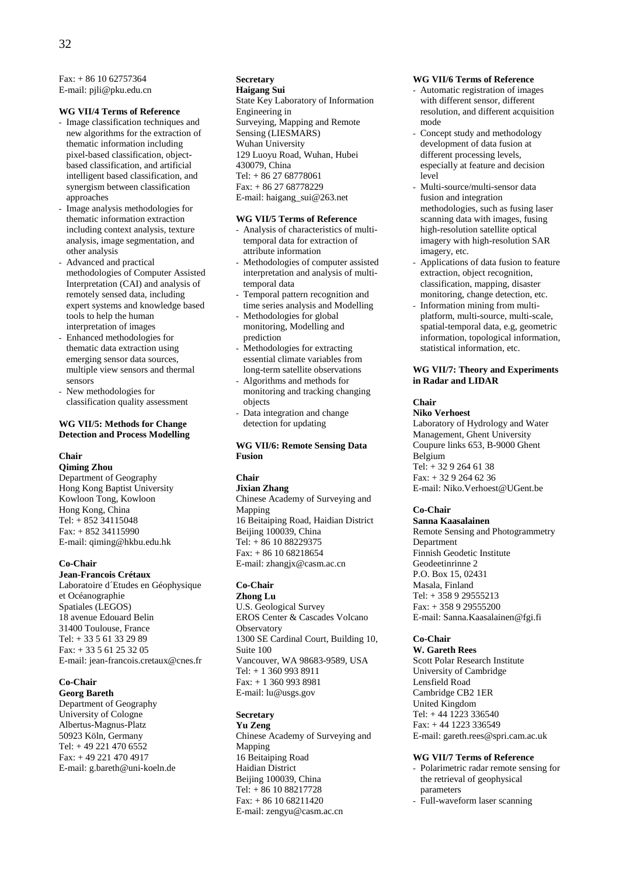$Fax: + 86 10 62757364$ E-mail: pjli@pku.edu.cn

## **WG VII/4 Terms of Reference**

- Image classification techniques and new algorithms for the extraction of thematic information including pixel-based classification, objectbased classification, and artificial intelligent based classification, and synergism between classification approaches
- Image analysis methodologies for thematic information extraction including context analysis, texture analysis, image segmentation, and other analysis
- Advanced and practical methodologies of Computer Assisted Interpretation (CAI) and analysis of remotely sensed data, including expert systems and knowledge based tools to help the human interpretation of images
- Enhanced methodologies for thematic data extraction using emerging sensor data sources, multiple view sensors and thermal sensors
- New methodologies for classification quality assessment

## **WG VII/5: Methods for Change Detection and Process Modelling**

## **Chair**

**Qiming Zhou**  Department of Geography Hong Kong Baptist University Kowloon Tong, Kowloon Hong Kong, China Tel: + 852 34115048 Fax: + 852 34115990 E-mail: qiming@hkbu.edu.hk

## **Co-Chair**

**Jean-Francois Crétaux**  Laboratoire d´Etudes en Géophysique et Océanographie Spatiales (LEGOS) 18 avenue Edouard Belin 31400 Toulouse, France Tel: + 33 5 61 33 29 89 Fax: + 33 5 61 25 32 05 E-mail: jean-francois.cretaux@cnes.fr

## **Co-Chair**

**Georg Bareth**  Department of Geography University of Cologne Albertus-Magnus-Platz 50923 Köln, Germany Tel: + 49 221 470 6552 Fax: + 49 221 470 4917 E-mail: g.bareth@uni-koeln.de

## **Secretary**

**Haigang Sui**  State Key Laboratory of Information Engineering in Surveying, Mapping and Remote Sensing (LIESMARS) Wuhan University 129 Luoyu Road, Wuhan, Hubei 430079, China Tel: + 86 27 68778061 Fax: + 86 27 68778229 E-mail: haigang\_sui@263.net

#### **WG VII/5 Terms of Reference**

- Analysis of characteristics of multitemporal data for extraction of attribute information
- Methodologies of computer assisted interpretation and analysis of multitemporal data
- Temporal pattern recognition and time series analysis and Modelling
- Methodologies for global monitoring, Modelling and prediction
- Methodologies for extracting essential climate variables from long-term satellite observations
- Algorithms and methods for monitoring and tracking changing objects
- Data integration and change detection for updating

## **WG VII/6: Remote Sensing Data Fusion**

## **Chair**

**Jixian Zhang**  Chinese Academy of Surveying and Mapping 16 Beitaiping Road, Haidian District Beijing 100039, China Tel: + 86 10 88229375 Fax: + 86 10 68218654 E-mail: zhangjx@casm.ac.cn

## **Co-Chair**

**Zhong Lu**  U.S. Geological Survey EROS Center & Cascades Volcano **Observatory** 1300 SE Cardinal Court, Building 10, Suite 100 Vancouver, WA 98683-9589, USA Tel: + 1 360 993 8911 Fax: + 1 360 993 8981 E-mail: lu@usgs.gov

## **Secretary**

**Yu Zeng**  Chinese Academy of Surveying and Mapping 16 Beitaiping Road Haidian District Beijing 100039, China Tel: + 86 10 88217728 Fax: + 86 10 68211420 E-mail: zengyu@casm.ac.cn

#### **WG VII/6 Terms of Reference**

- Automatic registration of images with different sensor, different resolution, and different acquisition mode
- Concept study and methodology development of data fusion at different processing levels, especially at feature and decision level
- Multi-source/multi-sensor data fusion and integration methodologies, such as fusing laser scanning data with images, fusing high-resolution satellite optical imagery with high-resolution SAR imagery, etc.
- Applications of data fusion to feature extraction, object recognition, classification, mapping, disaster monitoring, change detection, etc.
- Information mining from multiplatform, multi-source, multi-scale, spatial-temporal data, e.g, geometric information, topological information, statistical information, etc.

## **WG VII/7: Theory and Experiments in Radar and LIDAR**

## **Chair**

**Niko Verhoest**  Laboratory of Hydrology and Water Management, Ghent University Coupure links 653, B-9000 Ghent Belgium Tel: + 32 9 264 61 38 Fax: + 32 9 264 62 36 E-mail: Niko.Verhoest@UGent.be

#### **Co-Chair**

**Sanna Kaasalainen**  Remote Sensing and Photogrammetry Department Finnish Geodetic Institute Geodeetinrinne 2 P.O. Box 15, 02431 Masala, Finland Tel: + 358 9 29555213 Fax: + 358 9 29555200 E-mail: Sanna.Kaasalainen@fgi.fi

## **Co-Chair**

**W. Gareth Rees**  Scott Polar Research Institute University of Cambridge Lensfield Road Cambridge CB2 1ER United Kingdom Tel: + 44 1223 336540 Fax: + 44 1223 336549 E-mail: gareth.rees@spri.cam.ac.uk

## **WG VII/7 Terms of Reference**

- Polarimetric radar remote sensing for the retrieval of geophysical parameters
- Full-waveform laser scanning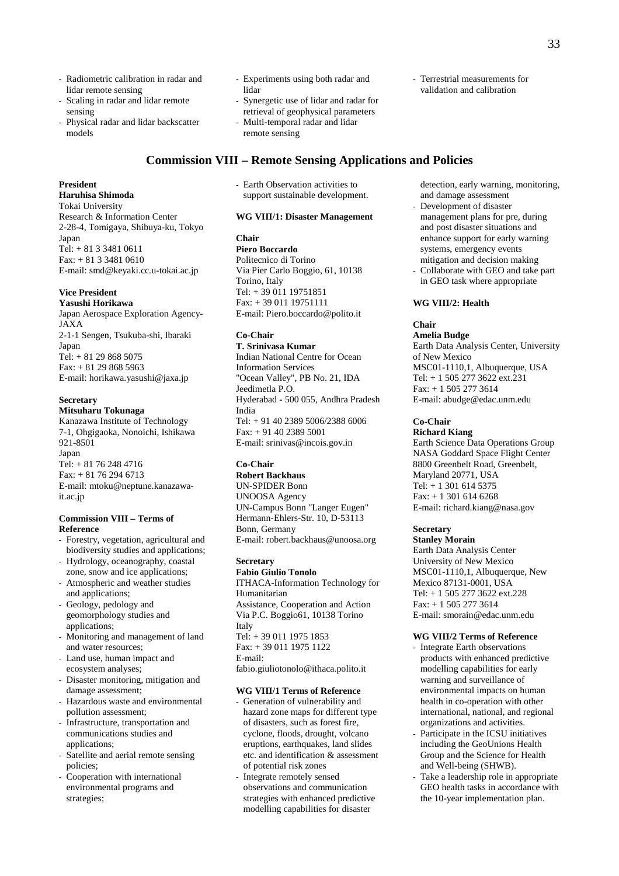- Radiometric calibration in radar and lidar remote sensing
- Scaling in radar and lidar remote sensing
- Physical radar and lidar backscatter models
- Experiments using both radar and lidar
- Synergetic use of lidar and radar for retrieval of geophysical parameters Multi-temporal radar and lidar
- remote sensing
- **Commission VIII Remote Sensing Applications and Policies**
- **President**

**Haruhisa Shimoda**  Tokai University Research & Information Center 2-28-4, Tomigaya, Shibuya-ku, Tokyo Japan Tel: + 81 3 3481 0611 Fax: + 81 3 3481 0610 E-mail: smd@keyaki.cc.u-tokai.ac.jp

## **Vice President**

**Yasushi Horikawa**  Japan Aerospace Exploration Agency-JAXA 2-1-1 Sengen, Tsukuba-shi, Ibaraki Japan Tel: + 81 29 868 5075 Fax: + 81 29 868 5963 E-mail: horikawa.yasushi@jaxa.jp

## **Secretary**

## **Mitsuharu Tokunaga**

Kanazawa Institute of Technology 7-1, Ohgigaoka, Nonoichi, Ishikawa 921-8501 Japan Tel: + 81 76 248 4716 Fax: + 81 76 294 6713 E-mail: mtoku@neptune.kanazawait.ac.jp

## **Commission VIII – Terms of Reference**

- Forestry, vegetation, agricultural and biodiversity studies and applications;
- Hydrology, oceanography, coastal zone, snow and ice applications;
- Atmospheric and weather studies and applications;
- Geology, pedology and geomorphology studies and applications;
- Monitoring and management of land and water resources;
- Land use, human impact and ecosystem analyses;
- Disaster monitoring, mitigation and damage assessment;
- Hazardous waste and environmental pollution assessment;
- Infrastructure, transportation and communications studies and applications;
- Satellite and aerial remote sensing policies;
- Cooperation with international environmental programs and strategies;

- Earth Observation activities to support sustainable development.

## **WG VIII/1: Disaster Management**

## **Chair**

**Piero Boccardo**  Politecnico di Torino Via Pier Carlo Boggio, 61, 10138 Torino, Italy Tel: + 39 011 19751851 Fax: + 39 011 19751111 E-mail: Piero.boccardo@polito.it

## **Co-Chair**

**T. Srinivasa Kumar**  Indian National Centre for Ocean Information Services "Ocean Valley", PB No. 21, IDA Jeedimetla P.O. Hyderabad - 500 055, Andhra Pradesh India Tel: + 91 40 2389 5006/2388 6006 Fax: + 91 40 2389 5001 E-mail: srinivas@incois.gov.in

## **Co-Chair**

**Robert Backhaus**  UN-SPIDER Bonn UNOOSA Agency UN-Campus Bonn "Langer Eugen" Hermann-Ehlers-Str. 10, D-53113 Bonn, Germany E-mail: robert.backhaus@unoosa.org

## **Secretary**

**Fabio Giulio Tonolo**  ITHACA-Information Technology for Humanitarian Assistance, Cooperation and Action Via P.C. Boggio61, 10138 Torino Italy Tel: + 39 011 1975 1853 Fax: + 39 011 1975 1122 E-mail: fabio.giuliotonolo@ithaca.polito.it

## **WG VIII/1 Terms of Reference**

- Generation of vulnerability and hazard zone maps for different type of disasters, such as forest fire, cyclone, floods, drought, volcano eruptions, earthquakes, land slides etc. and identification & assessment of potential risk zones
- Integrate remotely sensed observations and communication strategies with enhanced predictive modelling capabilities for disaster

detection, early warning, monitoring, and damage assessment

- Development of disaster management plans for pre, during and post disaster situations and enhance support for early warning systems, emergency events mitigation and decision making
- Collaborate with GEO and take part in GEO task where appropriate

## **WG VIII/2: Health**

## **Chair**

**Amelia Budge**  Earth Data Analysis Center, University of New Mexico MSC01-1110,1, Albuquerque, USA Tel: + 1 505 277 3622 ext.231 Fax: + 1 505 277 3614 E-mail: abudge@edac.unm.edu

## **Co-Chair**

**Richard Kiang**  Earth Science Data Operations Group NASA Goddard Space Flight Center 8800 Greenbelt Road, Greenbelt, Maryland 20771, USA Tel: + 1 301 614 5375 Fax: + 1 301 614 6268 E-mail: richard.kiang@nasa.gov

## **Secretary**

**Stanley Morain**  Earth Data Analysis Center University of New Mexico MSC01-1110,1, Albuquerque, New Mexico 87131-0001, USA Tel: + 1 505 277 3622 ext.228 Fax: + 1 505 277 3614 E-mail: smorain@edac.unm.edu

## **WG VIII/2 Terms of Reference**

- Integrate Earth observations products with enhanced predictive modelling capabilities for early warning and surveillance of environmental impacts on human health in co-operation with other international, national, and regional organizations and activities.
- Participate in the ICSU initiatives including the GeoUnions Health Group and the Science for Health and Well-being (SHWB).
- Take a leadership role in appropriate GEO health tasks in accordance with the 10-year implementation plan.

- Terrestrial measurements for validation and calibration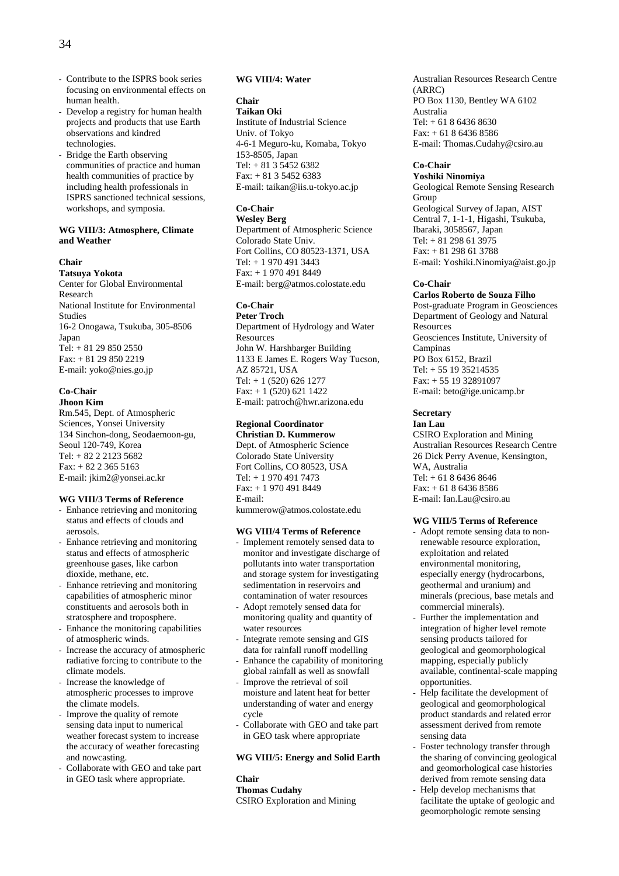- Contribute to the ISPRS book series focusing on environmental effects on human health.
- Develop a registry for human health projects and products that use Earth observations and kindred technologies.
- Bridge the Earth observing communities of practice and human health communities of practice by including health professionals in ISPRS sanctioned technical sessions, workshops, and symposia.

#### **WG VIII/3: Atmosphere, Climate and Weather**

#### **Chair**

**Tatsuya Yokota**  Center for Global Environmental Research National Institute for Environmental Studies 16-2 Onogawa, Tsukuba, 305-8506 Japan Tel:  $+ 81 29 850 2550$ Fax: + 81 29 850 2219 E-mail: yoko@nies.go.jp

#### **Co-Chair Jhoon Kim**

Rm.545, Dept. of Atmospheric Sciences, Yonsei University 134 Sinchon-dong, Seodaemoon-gu, Seoul 120-749, Korea Tel: + 82 2 2123 5682 Fax: + 82 2 365 5163 E-mail: jkim2@yonsei.ac.kr

## **WG VIII/3 Terms of Reference**

- Enhance retrieving and monitoring status and effects of clouds and aerosols.
- Enhance retrieving and monitoring status and effects of atmospheric greenhouse gases, like carbon dioxide, methane, etc.
- Enhance retrieving and monitoring capabilities of atmospheric minor constituents and aerosols both in stratosphere and troposphere.
- Enhance the monitoring capabilities of atmospheric winds.
- Increase the accuracy of atmospheric radiative forcing to contribute to the climate models.
- Increase the knowledge of atmospheric processes to improve the climate models.
- Improve the quality of remote sensing data input to numerical weather forecast system to increase the accuracy of weather forecasting and nowcasting.
- Collaborate with GEO and take part in GEO task where appropriate.

## **WG VIII/4: Water**

## **Chair**

**Taikan Oki**  Institute of Industrial Science Univ. of Tokyo 4-6-1 Meguro-ku, Komaba, Tokyo 153-8505, Japan Tel: + 81 3 5452 6382 Fax: + 81 3 5452 6383 E-mail: taikan@iis.u-tokyo.ac.jp

## **Co-Chair**

**Wesley Berg**  Department of Atmospheric Science Colorado State Univ. Fort Collins, CO 80523-1371, USA Tel: + 1 970 491 3443 Fax: + 1 970 491 8449 E-mail: berg@atmos.colostate.edu

#### **Co-Chair Peter Troch**

Department of Hydrology and Water Resources John W. Harshbarger Building 1133 E James E. Rogers Way Tucson, AZ 85721, USA Tel: + 1 (520) 626 1277 Fax: + 1 (520) 621 1422 E-mail: patroch@hwr.arizona.edu

#### **Regional Coordinator Christian D. Kummerow**

Dept. of Atmospheric Science Colorado State University Fort Collins, CO 80523, USA Tel: + 1 970 491 7473 Fax: + 1 970 491 8449 E-mail: kummerow@atmos.colostate.edu

## **WG VIII/4 Terms of Reference**

- Implement remotely sensed data to monitor and investigate discharge of pollutants into water transportation and storage system for investigating sedimentation in reservoirs and contamination of water resources
- Adopt remotely sensed data for monitoring quality and quantity of water resources
- Integrate remote sensing and GIS data for rainfall runoff modelling
- Enhance the capability of monitoring global rainfall as well as snowfall
- Improve the retrieval of soil moisture and latent heat for better understanding of water and energy cycle
- Collaborate with GEO and take part in GEO task where appropriate

## **WG VIII/5: Energy and Solid Earth**

**Chair Thomas Cudahy**  CSIRO Exploration and Mining Australian Resources Research Centre (ARRC) PO Box 1130, Bentley WA 6102 Australia Tel: + 61 8 6436 8630 Fax: + 61 8 6436 8586 E-mail: Thomas.Cudahy@csiro.au

## **Co-Chair**

**Yoshiki Ninomiya**  Geological Remote Sensing Research Group Geological Survey of Japan, AIST Central 7, 1-1-1, Higashi, Tsukuba, Ibaraki, 3058567, Japan Tel: + 81 298 61 3975 Fax: + 81 298 61 3788 E-mail: Yoshiki.Ninomiya@aist.go.jp

## **Co-Chair**

**Carlos Roberto de Souza Filho**  Post-graduate Program in Geosciences Department of Geology and Natural Resources Geosciences Institute, University of Campinas PO Box 6152, Brazil Tel: + 55 19 35214535 Fax: + 55 19 32891097 E-mail: beto@ige.unicamp.br

## **Secretary**

**Ian Lau**  CSIRO Exploration and Mining Australian Resources Research Centre 26 Dick Perry Avenue, Kensington, WA, Australia Tel: + 61 8 6436 8646 Fax: + 61 8 6436 8586 E-mail: Ian.Lau@csiro.au

## **WG VIII/5 Terms of Reference**

- Adopt remote sensing data to nonrenewable resource exploration, exploitation and related environmental monitoring, especially energy (hydrocarbons, geothermal and uranium) and minerals (precious, base metals and commercial minerals).
- Further the implementation and integration of higher level remote sensing products tailored for geological and geomorphological mapping, especially publicly available, continental-scale mapping opportunities.
- Help facilitate the development of geological and geomorphological product standards and related error assessment derived from remote sensing data
- Foster technology transfer through the sharing of convincing geological and geomorhological case histories derived from remote sensing data
- Help develop mechanisms that facilitate the uptake of geologic and geomorphologic remote sensing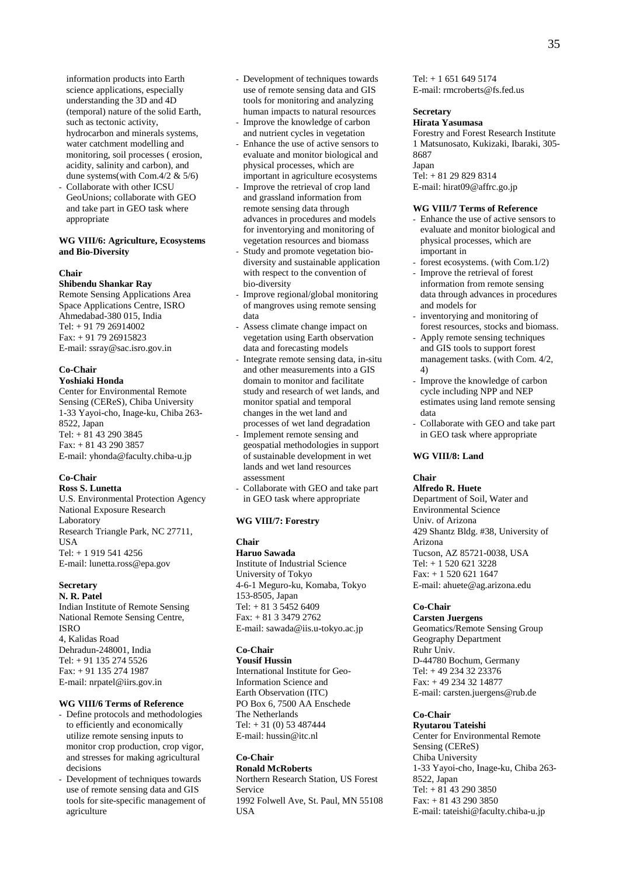information products into Earth science applications, especially understanding the 3D and 4D (temporal) nature of the solid Earth, such as tectonic activity, hydrocarbon and minerals systems, water catchment modelling and monitoring, soil processes ( erosion, acidity, salinity and carbon), and dune systems(with Com.4/2 & 5/6)

Collaborate with other ICSU GeoUnions; collaborate with GEO and take part in GEO task where appropriate

## **WG VIII/6: Agriculture, Ecosystems and Bio-Diversity**

#### **Chair**

## **Shibendu Shankar Ray**

Remote Sensing Applications Area Space Applications Centre, ISRO Ahmedabad-380 015, India Tel: + 91 79 26914002 Fax: + 91 79 26915823 E-mail: ssray@sac.isro.gov.in

## **Co-Chair**

**Yoshiaki Honda** 

Center for Environmental Remote Sensing (CEReS), Chiba University 1-33 Yayoi-cho, Inage-ku, Chiba 263- 8522, Japan Tel: + 81 43 290 3845 Fax: + 81 43 290 3857 E-mail: yhonda@faculty.chiba-u.jp

#### **Co-Chair Ross S. Lunetta**

U.S. Environmental Protection Agency National Exposure Research Laboratory Research Triangle Park, NC 27711, **USA** Tel: + 1 919 541 4256 E-mail: lunetta.ross@epa.gov

## **Secretary**

**N. R. Patel**  Indian Institute of Remote Sensing National Remote Sensing Centre, ISRO 4, Kalidas Road Dehradun-248001, India Tel: + 91 135 274 5526 Fax: + 91 135 274 1987 E-mail: nrpatel@iirs.gov.in

## **WG VIII/6 Terms of Reference**

- Define protocols and methodologies to efficiently and economically utilize remote sensing inputs to monitor crop production, crop vigor, and stresses for making agricultural decisions
- Development of techniques towards use of remote sensing data and GIS tools for site-specific management of agriculture
- Development of techniques towards use of remote sensing data and GIS tools for monitoring and analyzing human impacts to natural resources Improve the knowledge of carbon
- and nutrient cycles in vegetation
- Enhance the use of active sensors to evaluate and monitor biological and physical processes, which are important in agriculture ecosystems
- Improve the retrieval of crop land and grassland information from remote sensing data through advances in procedures and models for inventorying and monitoring of vegetation resources and biomass
- Study and promote vegetation biodiversity and sustainable application with respect to the convention of bio-diversity
- Improve regional/global monitoring of mangroves using remote sensing data
- Assess climate change impact on vegetation using Earth observation data and forecasting models
- Integrate remote sensing data, in-situ and other measurements into a GIS domain to monitor and facilitate study and research of wet lands, and monitor spatial and temporal changes in the wet land and processes of wet land degradation
- Implement remote sensing and geospatial methodologies in support of sustainable development in wet lands and wet land resources assessment
- Collaborate with GEO and take part in GEO task where appropriate

#### **WG VIII/7: Forestry**

#### **Chair**

**Haruo Sawada**  Institute of Industrial Science University of Tokyo 4-6-1 Meguro-ku, Komaba, Tokyo 153-8505, Japan Tel: + 81 3 5452 6409 Fax: + 81 3 3479 2762 E-mail: sawada@iis.u-tokyo.ac.jp

#### **Co-Chair**

**Yousif Hussin**  International Institute for Geo-

Information Science and Earth Observation (ITC) PO Box 6, 7500 AA Enschede The Netherlands Tel: + 31 (0) 53 487444 E-mail: hussin@itc.nl

## **Co-Chair Ronald McRoberts**

Northern Research Station, US Forest Service 1992 Folwell Ave, St. Paul, MN 55108 USA

Tel: + 1 651 649 5174 E-mail: rmcroberts@fs.fed.us

## **Secretary**

**Hirata Yasumasa**  Forestry and Forest Research Institute 1 Matsunosato, Kukizaki, Ibaraki, 305- 8687 Japan Tel: + 81 29 829 8314 E-mail: hirat09@affrc.go.jp

## **WG VIII/7 Terms of Reference**

- Enhance the use of active sensors to evaluate and monitor biological and physical processes, which are important in
- forest ecosystems. (with Com.1/2)
- Improve the retrieval of forest information from remote sensing data through advances in procedures and models for
- inventorying and monitoring of forest resources, stocks and biomass.
- Apply remote sensing techniques and GIS tools to support forest management tasks. (with Com. 4/2, 4)
- Improve the knowledge of carbon cycle including NPP and NEP estimates using land remote sensing data
- Collaborate with GEO and take part in GEO task where appropriate

## **WG VIII/8: Land**

## **Chair**

**Alfredo R. Huete**  Department of Soil, Water and Environmental Science Univ. of Arizona 429 Shantz Bldg. #38, University of Arizona Tucson, AZ 85721-0038, USA Tel: + 1 520 621 3228 Fax: + 1 520 621 1647 E-mail: ahuete@ag.arizona.edu

## **Co-Chair**

**Carsten Juergens**  Geomatics/Remote Sensing Group Geography Department Ruhr Univ. D-44780 Bochum, Germany Tel: + 49 234 32 23376 Fax: + 49 234 32 14877 E-mail: carsten.juergens@rub.de

#### **Co-Chair**

**Ryutarou Tateishi**  Center for Environmental Remote Sensing (CEReS) Chiba University 1-33 Yayoi-cho, Inage-ku, Chiba 263- 8522, Japan Tel: + 81 43 290 3850 Fax: + 81 43 290 3850 E-mail: tateishi@faculty.chiba-u.jp